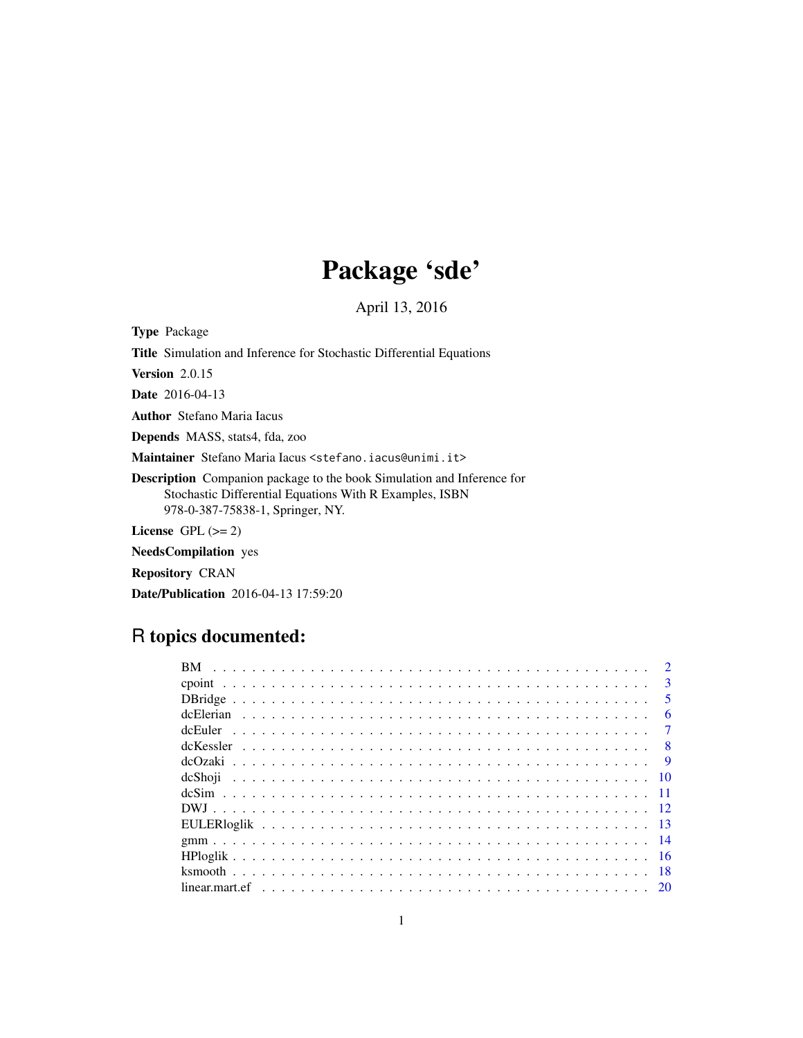# Package 'sde'

April 13, 2016

Type Package

Title Simulation and Inference for Stochastic Differential Equations

Version 2.0.15

Date 2016-04-13

Author Stefano Maria Iacus

Depends MASS, stats4, fda, zoo

Maintainer Stefano Maria Iacus <stefano.iacus@unimi.it>

Description Companion package to the book Simulation and Inference for Stochastic Differential Equations With R Examples, ISBN 978-0-387-75838-1, Springer, NY.

License GPL  $(>= 2)$ 

NeedsCompilation yes

Repository CRAN

Date/Publication 2016-04-13 17:59:20

# R topics documented:

|         |  |  |  |  |  |  |  |  |  |  |  |  |  |  |  |  |  | $\overline{2}$          |
|---------|--|--|--|--|--|--|--|--|--|--|--|--|--|--|--|--|--|-------------------------|
|         |  |  |  |  |  |  |  |  |  |  |  |  |  |  |  |  |  | $\mathbf{R}$            |
|         |  |  |  |  |  |  |  |  |  |  |  |  |  |  |  |  |  | $\overline{\mathbf{5}}$ |
|         |  |  |  |  |  |  |  |  |  |  |  |  |  |  |  |  |  | 6                       |
| dcEuler |  |  |  |  |  |  |  |  |  |  |  |  |  |  |  |  |  | $\tau$                  |
|         |  |  |  |  |  |  |  |  |  |  |  |  |  |  |  |  |  | - 8                     |
|         |  |  |  |  |  |  |  |  |  |  |  |  |  |  |  |  |  | <b>q</b>                |
|         |  |  |  |  |  |  |  |  |  |  |  |  |  |  |  |  |  | $\overline{10}$         |
|         |  |  |  |  |  |  |  |  |  |  |  |  |  |  |  |  |  |                         |
|         |  |  |  |  |  |  |  |  |  |  |  |  |  |  |  |  |  |                         |
|         |  |  |  |  |  |  |  |  |  |  |  |  |  |  |  |  |  |                         |
|         |  |  |  |  |  |  |  |  |  |  |  |  |  |  |  |  |  |                         |
|         |  |  |  |  |  |  |  |  |  |  |  |  |  |  |  |  |  |                         |
|         |  |  |  |  |  |  |  |  |  |  |  |  |  |  |  |  |  | -18                     |
|         |  |  |  |  |  |  |  |  |  |  |  |  |  |  |  |  |  |                         |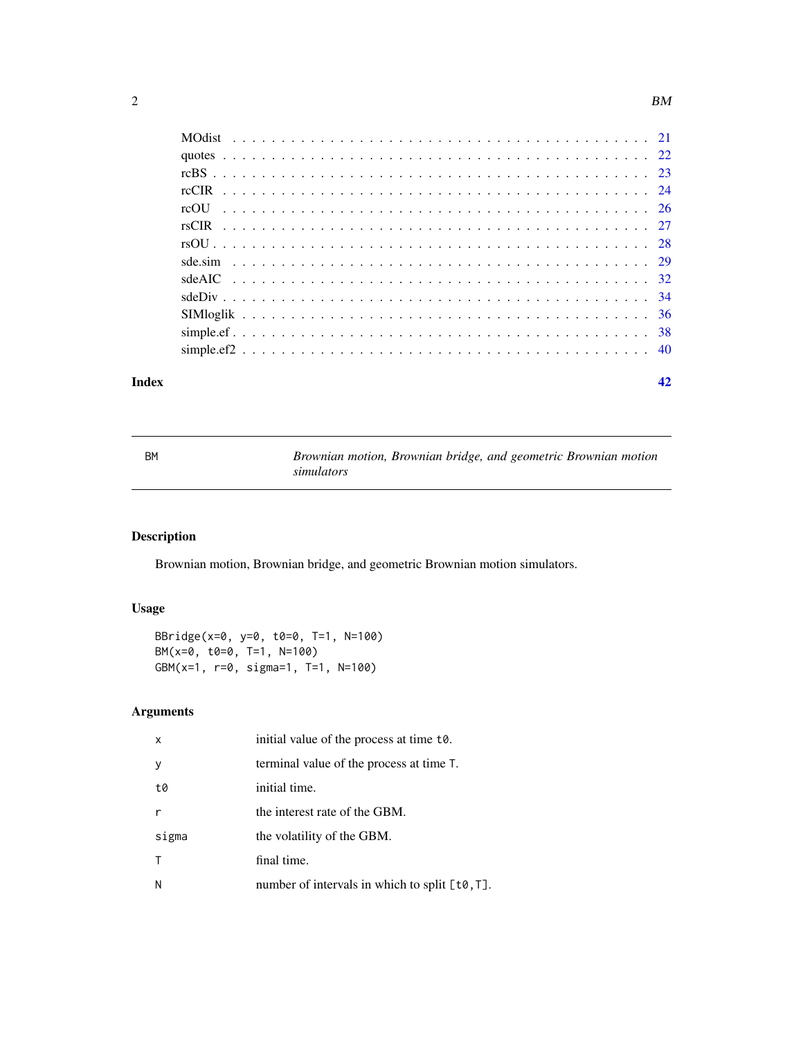<span id="page-1-0"></span>

| Index | 42 |
|-------|----|
|       |    |
|       |    |
|       |    |
|       |    |
|       |    |
|       |    |
|       |    |
|       |    |
|       |    |
|       |    |
|       |    |
|       |    |
|       |    |

BM *Brownian motion, Brownian bridge, and geometric Brownian motion simulators*

# <span id="page-1-1"></span>Description

Brownian motion, Brownian bridge, and geometric Brownian motion simulators.

# Usage

```
BBridge(x=0, y=0, t0=0, T=1, N=100)
BM(x=0, t0=0, T=1, N=100)
GBM(x=1, r=0, sigma=1, T=1, N=100)
```
# Arguments

| X     | initial value of the process at time t0.          |
|-------|---------------------------------------------------|
| y     | terminal value of the process at time T.          |
| t0    | initial time.                                     |
|       | the interest rate of the GBM.                     |
| sigma | the volatility of the GBM.                        |
|       | final time.                                       |
| N     | number of intervals in which to split $[t0, T]$ . |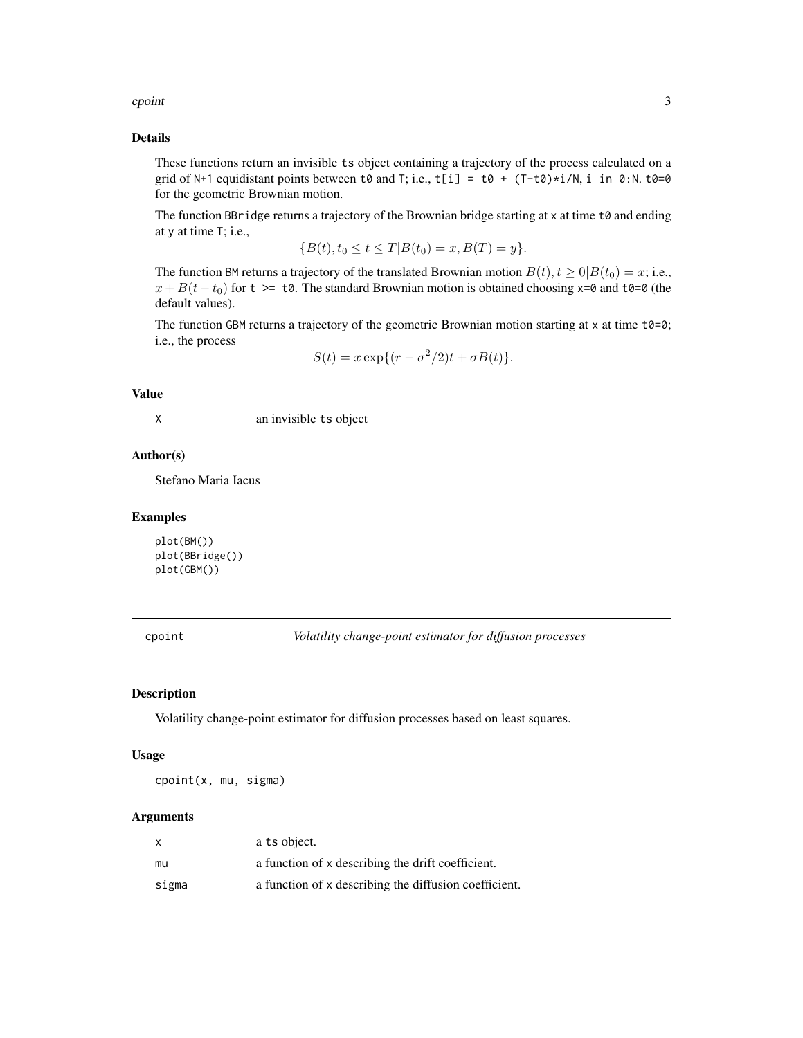<span id="page-2-0"></span>cpoint 3

# Details

These functions return an invisible ts object containing a trajectory of the process calculated on a grid of N+1 equidistant points between t0 and T; i.e.,  $t[i] = t0 + (T-t0)*i/N$ , i in 0:N.  $t0=0$ for the geometric Brownian motion.

The function BBridge returns a trajectory of the Brownian bridge starting at x at time t0 and ending at y at time T; i.e.,

$$
\{B(t), t_0 \le t \le T | B(t_0) = x, B(T) = y\}.
$$

The function BM returns a trajectory of the translated Brownian motion  $B(t)$ ,  $t \ge 0$   $B(t_0) = x$ ; i.e.,  $x + B(t - t_0)$  for  $t >= \tau$ . The standard Brownian motion is obtained choosing x=0 and  $\tau$ 0=0 (the default values).

The function GBM returns a trajectory of the geometric Brownian motion starting at  $x$  at time t0=0; i.e., the process

$$
S(t) = x \exp\{(r - \sigma^2/2)t + \sigma B(t)\}
$$

# Value

X an invisible ts object

#### Author(s)

Stefano Maria Iacus

#### Examples

```
plot(BM())
plot(BBridge())
plot(GBM())
```
cpoint *Volatility change-point estimator for diffusion processes*

# Description

Volatility change-point estimator for diffusion processes based on least squares.

# Usage

cpoint(x, mu, sigma)

#### Arguments

| x     | a ts object.                                          |
|-------|-------------------------------------------------------|
| mu    | a function of x describing the drift coefficient.     |
| sigma | a function of x describing the diffusion coefficient. |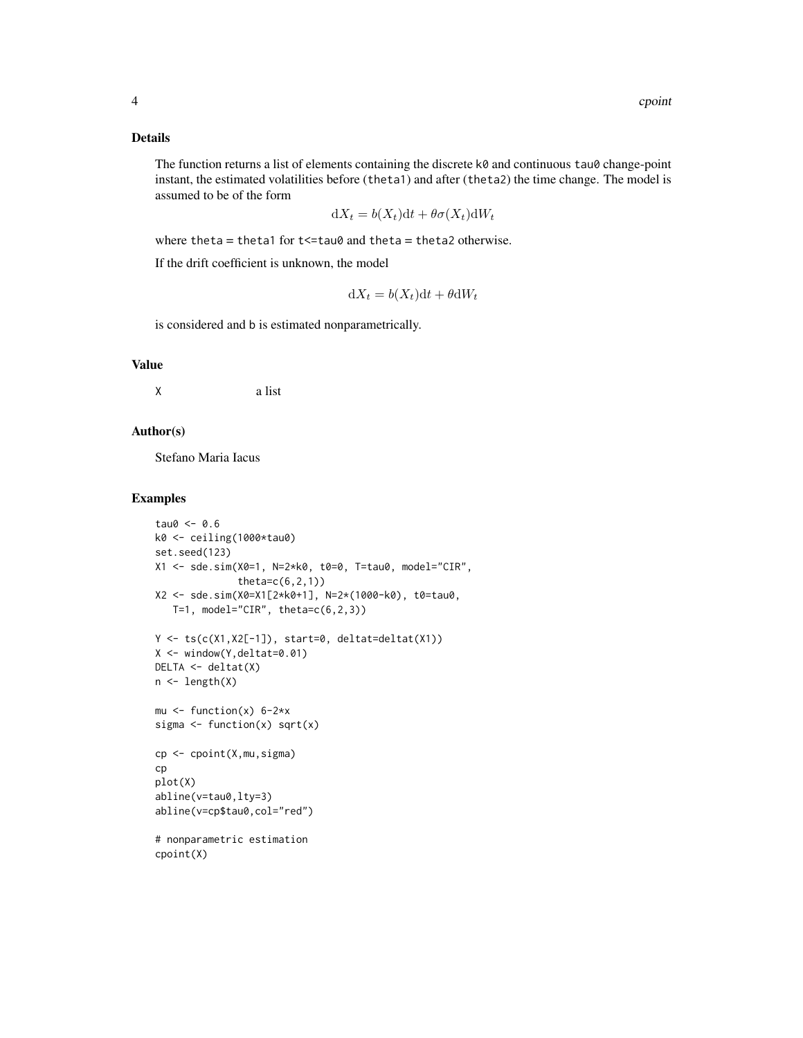# Details

The function returns a list of elements containing the discrete  $k\theta$  and continuous tau $\theta$  change-point instant, the estimated volatilities before (theta1) and after (theta2) the time change. The model is assumed to be of the form

$$
dX_t = b(X_t)dt + \theta \sigma(X_t)dW_t
$$

where theta = theta1 for  $t$  < = tau $\theta$  and theta = theta2 otherwise.

If the drift coefficient is unknown, the model

 $dX_t = b(X_t)dt + \theta dW_t$ 

is considered and b is estimated nonparametrically.

# Value

X a list

#### Author(s)

Stefano Maria Iacus

```
tau0 < -0.6k0 <- ceiling(1000*tau0)
set.seed(123)
X1 <- sde.sim(X0=1, N=2*k0, t0=0, T=tau0, model="CIR",
              theta=c(6,2,1))
X2 <- sde.sim(X0=X1[2*k0+1], N=2*(1000-k0), t0=tau0,
   T=1, model="CIR", theta=c(6, 2, 3))
Y <- ts(c(X1,X2[-1]), start=0, deltat=deltat(X1))
X \leftarrow window(Y, deltat=0.01)
DELTA <- deltat(X)
n <- length(X)
mu \leftarrow function(x) 6-2*x
sigma \leq function(x) sqrt(x)
cp <- cpoint(X,mu,sigma)
cp
plot(X)
abline(v=tau0,lty=3)
abline(v=cp$tau0,col="red")
# nonparametric estimation
cpoint(X)
```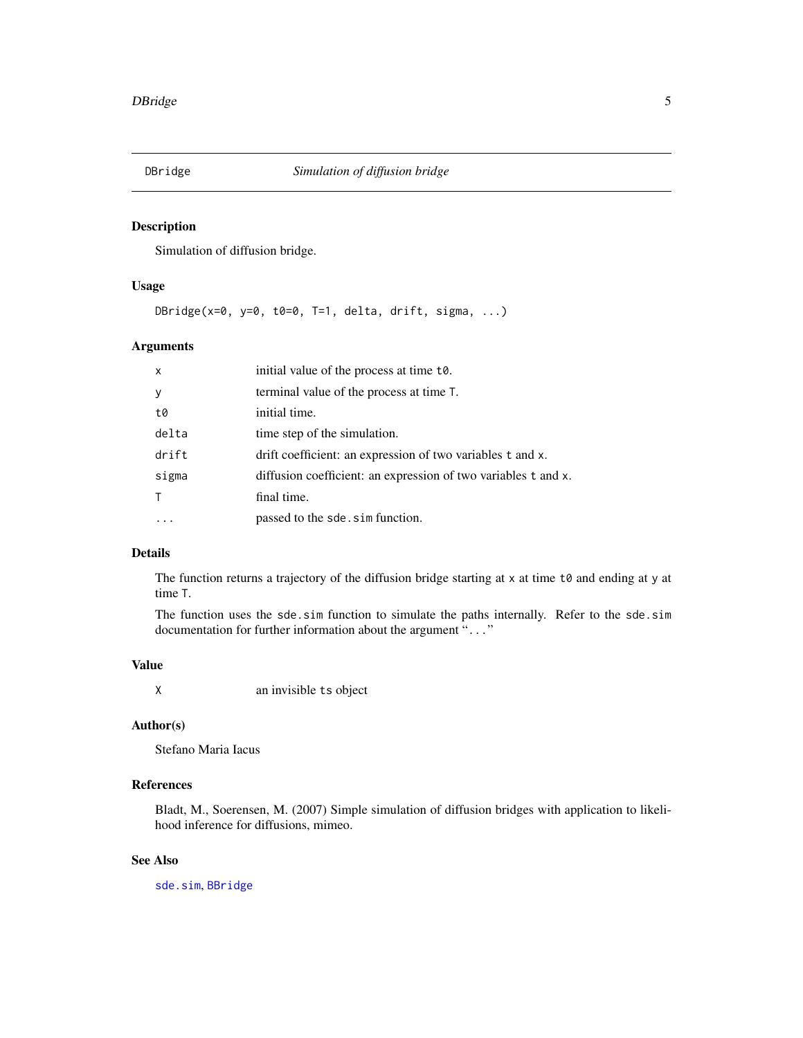<span id="page-4-0"></span>

Simulation of diffusion bridge.

#### Usage

DBridge( $x=0$ ,  $y=0$ ,  $t0=0$ , T=1, delta, drift, sigma, ...)

# Arguments

| x     | initial value of the process at time t0.                       |
|-------|----------------------------------------------------------------|
| у     | terminal value of the process at time T.                       |
| t0    | initial time.                                                  |
| delta | time step of the simulation.                                   |
| drift | drift coefficient: an expression of two variables t and x.     |
| sigma | diffusion coefficient: an expression of two variables t and x. |
| T.    | final time.                                                    |
|       | passed to the sde. sim function.                               |

#### Details

The function returns a trajectory of the diffusion bridge starting at x at time t0 and ending at y at time T.

The function uses the sde.sim function to simulate the paths internally. Refer to the sde.sim documentation for further information about the argument "..."

# Value

X an invisible ts object

#### Author(s)

Stefano Maria Iacus

# References

Bladt, M., Soerensen, M. (2007) Simple simulation of diffusion bridges with application to likelihood inference for diffusions, mimeo.

#### See Also

[sde.sim](#page-28-1), [BBridge](#page-1-1)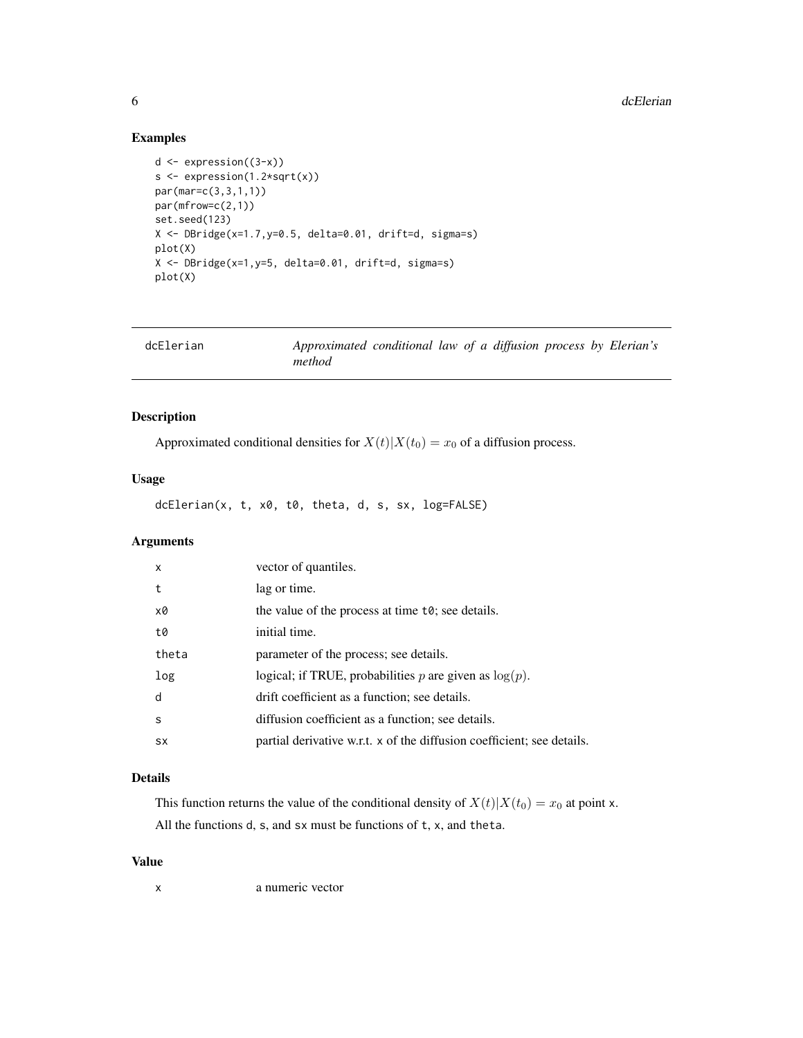# Examples

```
d <- expression((3-x))
s \leftarrow expression(1.2*sqrt(x))
par(mar=c(3,3,1,1))
par(mfrow=c(2,1))
set.seed(123)
X \le - DBridge(x=1.7, y=0.5, delta=0.01, drift=d, sigma=s)
plot(X)
X <- DBridge(x=1,y=5, delta=0.01, drift=d, sigma=s)
plot(X)
```

| dcElerian | Approximated conditional law of a diffusion process by Elerian's |  |  |  |  |
|-----------|------------------------------------------------------------------|--|--|--|--|
|           | method                                                           |  |  |  |  |

# Description

Approximated conditional densities for  $X(t)|X(t_0) = x_0$  of a diffusion process.

# Usage

dcElerian(x, t, x0, t0, theta, d, s, sx, log=FALSE)

# Arguments

| $\mathsf{x}$ | vector of quantiles.                                                   |
|--------------|------------------------------------------------------------------------|
| t            | lag or time.                                                           |
| x0           | the value of the process at time t <sub>0</sub> ; see details.         |
| t0           | initial time.                                                          |
| theta        | parameter of the process; see details.                                 |
| log          | logical; if TRUE, probabilities p are given as $log(p)$ .              |
| d            | drift coefficient as a function; see details.                          |
| <sub>S</sub> | diffusion coefficient as a function; see details.                      |
| <b>SX</b>    | partial derivative w.r.t. x of the diffusion coefficient; see details. |

# Details

This function returns the value of the conditional density of  $X(t)|X(t_0) = x_0$  at point x. All the functions d, s, and sx must be functions of t, x, and theta.

#### Value

```
x a numeric vector
```
<span id="page-5-0"></span>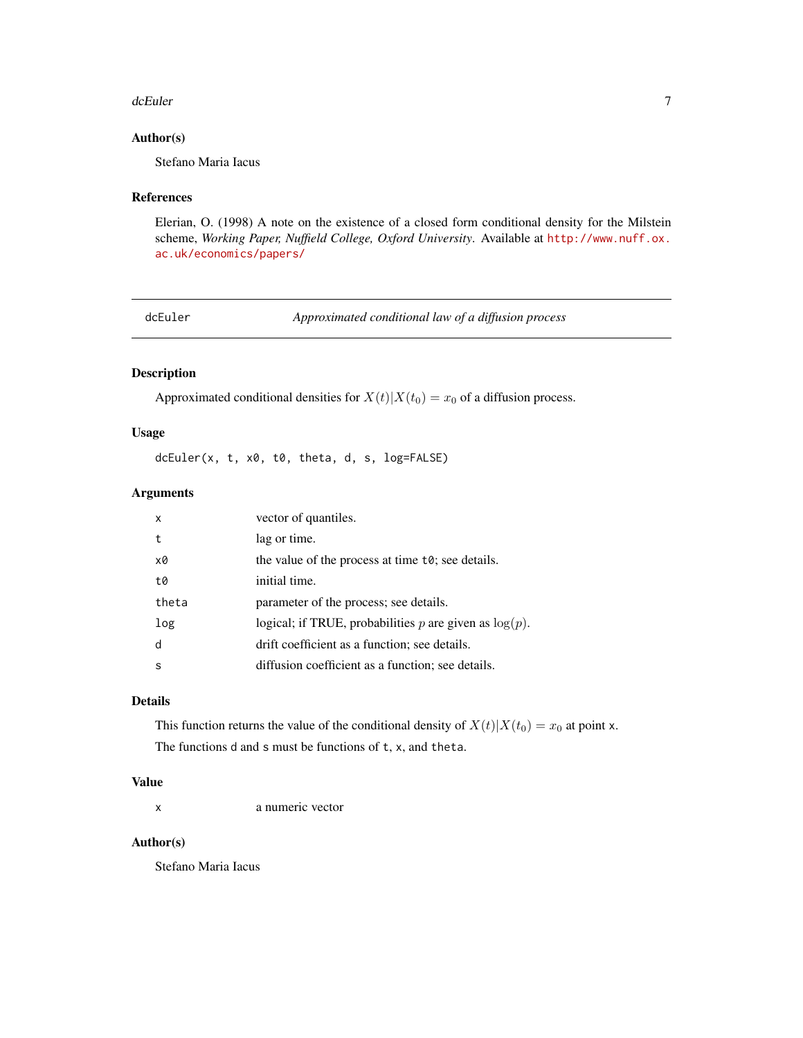#### <span id="page-6-0"></span>dcEuler 7 and 2012 12:00 the control of the control of the control of the control of the control of the control of the control of the control of the control of the control of the control of the control of the control of th

#### Author(s)

Stefano Maria Iacus

# References

Elerian, O. (1998) A note on the existence of a closed form conditional density for the Milstein scheme, *Working Paper, Nuffield College, Oxford University*. Available at [http://www.nuff.ox.](http://www.nuff.ox.ac.uk/economics/papers/) [ac.uk/economics/papers/](http://www.nuff.ox.ac.uk/economics/papers/)

dcEuler *Approximated conditional law of a diffusion process*

#### Description

Approximated conditional densities for  $X(t)|X(t_0) = x_0$  of a diffusion process.

# Usage

dcEuler(x, t, x0, t0, theta, d, s, log=FALSE)

# Arguments

| $\mathsf{x}$ | vector of quantiles.                                           |
|--------------|----------------------------------------------------------------|
| t            | lag or time.                                                   |
| x0           | the value of the process at time t <sub>0</sub> ; see details. |
| t0           | initial time.                                                  |
| theta        | parameter of the process; see details.                         |
| log          | logical; if TRUE, probabilities p are given as $log(p)$ .      |
| d            | drift coefficient as a function; see details.                  |
| S            | diffusion coefficient as a function; see details.              |
|              |                                                                |

# Details

This function returns the value of the conditional density of  $X(t)|X(t_0) = x_0$  at point x. The functions d and s must be functions of t, x, and theta.

#### Value

x a numeric vector

# Author(s)

Stefano Maria Iacus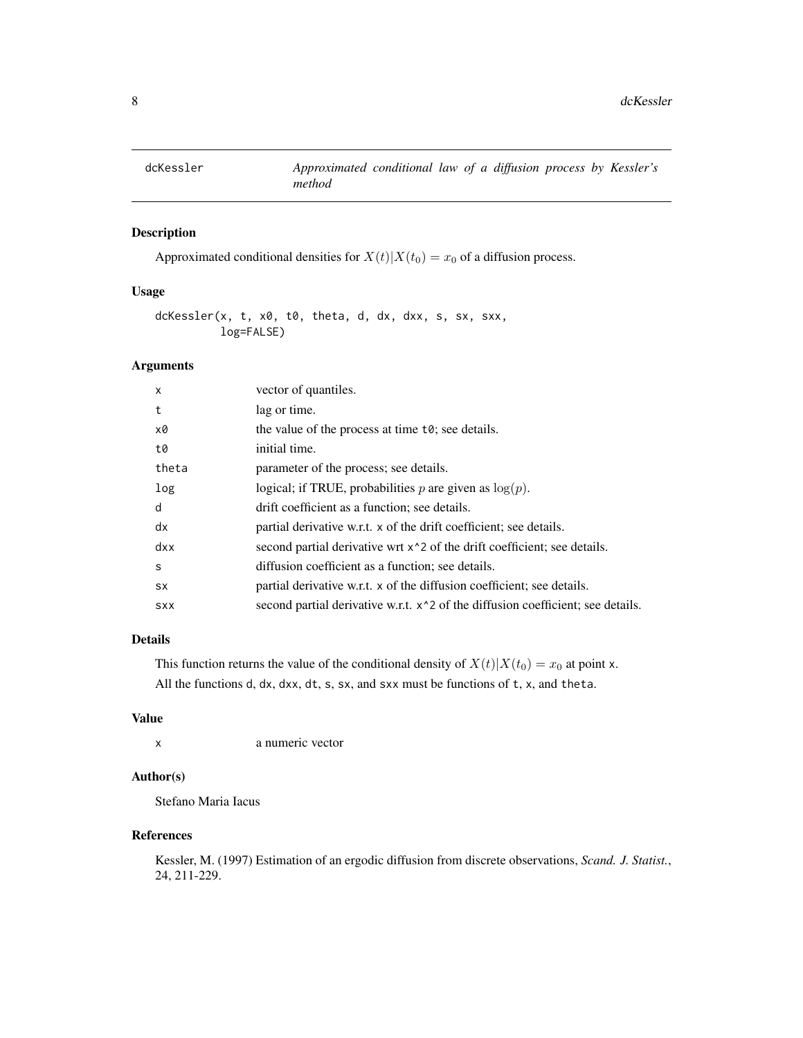<span id="page-7-0"></span>

Approximated conditional densities for  $X(t)|X(t_0) = x_0$  of a diffusion process.

# Usage

```
dcKessler(x, t, x0, t0, theta, d, dx, dxx, s, sx, sxx,
          log=FALSE)
```
#### Arguments

| vector of quantiles.                                                                       |
|--------------------------------------------------------------------------------------------|
| lag or time.                                                                               |
| the value of the process at time to; see details.                                          |
| initial time.                                                                              |
| parameter of the process; see details.                                                     |
| logical; if TRUE, probabilities p are given as $log(p)$ .                                  |
| drift coefficient as a function; see details.                                              |
| partial derivative w.r.t. x of the drift coefficient; see details.                         |
| second partial derivative wrt x <sup>2</sup> of the drift coefficient; see details.        |
| diffusion coefficient as a function; see details.                                          |
| partial derivative w.r.t. x of the diffusion coefficient; see details.                     |
| second partial derivative w.r.t. x <sup>2</sup> of the diffusion coefficient; see details. |
|                                                                                            |

#### Details

This function returns the value of the conditional density of  $X(t)|X(t_0) = x_0$  at point x. All the functions d, dx, dxx, dt, s, sx, and sxx must be functions of t, x, and theta.

#### Value

```
x a numeric vector
```
# Author(s)

Stefano Maria Iacus

# References

Kessler, M. (1997) Estimation of an ergodic diffusion from discrete observations, *Scand. J. Statist.*, 24, 211-229.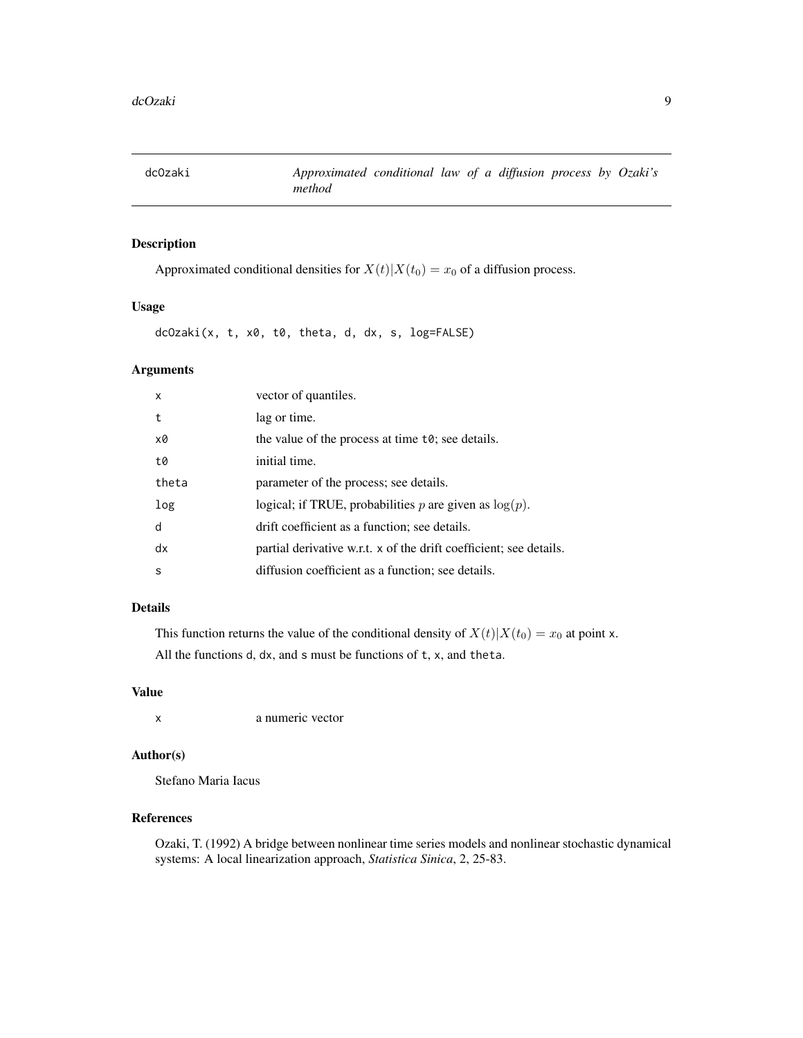<span id="page-8-0"></span>

Approximated conditional densities for  $X(t)|X(t_0) = x_0$  of a diffusion process.

#### Usage

dcOzaki(x, t, x0, t0, theta, d, dx, s, log=FALSE)

# Arguments

| $\mathsf{x}$ | vector of quantiles.                                               |
|--------------|--------------------------------------------------------------------|
| t            | lag or time.                                                       |
| x0           | the value of the process at time t <sub>0</sub> ; see details.     |
| t0           | initial time.                                                      |
| theta        | parameter of the process; see details.                             |
| log          | logical; if TRUE, probabilities p are given as $log(p)$ .          |
| d            | drift coefficient as a function; see details.                      |
| dx           | partial derivative w.r.t. x of the drift coefficient; see details. |
| S            | diffusion coefficient as a function; see details.                  |

# Details

This function returns the value of the conditional density of  $X(t)|X(t_0) = x_0$  at point x. All the functions d, dx, and s must be functions of t, x, and theta.

# Value

x a numeric vector

# Author(s)

Stefano Maria Iacus

# References

Ozaki, T. (1992) A bridge between nonlinear time series models and nonlinear stochastic dynamical systems: A local linearization approach, *Statistica Sinica*, 2, 25-83.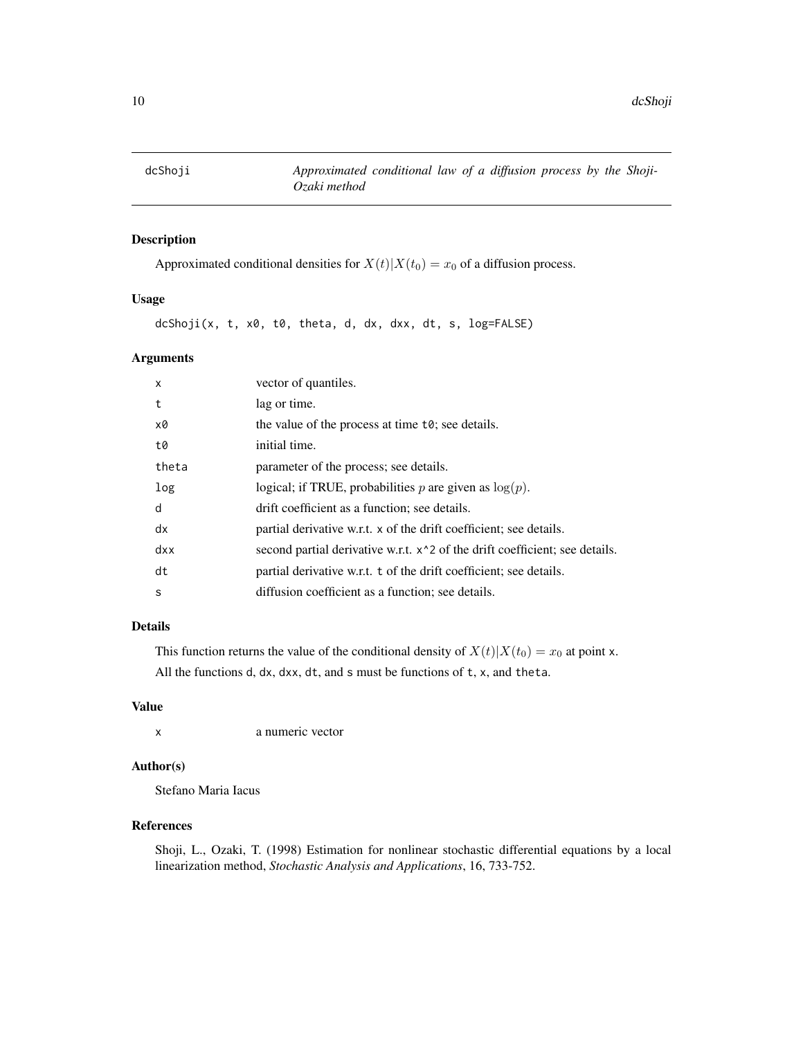<span id="page-9-0"></span>

Approximated conditional densities for  $X(t)|X(t_0) = x_0$  of a diffusion process.

#### Usage

dcShoji(x, t, x0, t0, theta, d, dx, dxx, dt, s, log=FALSE)

#### Arguments

| X     | vector of quantiles.                                                          |
|-------|-------------------------------------------------------------------------------|
| t     | lag or time.                                                                  |
| x0    | the value of the process at time t <sub>0</sub> ; see details.                |
| t0    | initial time.                                                                 |
| theta | parameter of the process; see details.                                        |
| log   | logical; if TRUE, probabilities p are given as $log(p)$ .                     |
| d     | drift coefficient as a function; see details.                                 |
| dx    | partial derivative w.r.t. x of the drift coefficient; see details.            |
| dx    | second partial derivative w.r.t. $x^2$ of the drift coefficient; see details. |
| dt    | partial derivative w.r.t. t of the drift coefficient; see details.            |
| S     | diffusion coefficient as a function; see details.                             |

# Details

This function returns the value of the conditional density of  $X(t)|X(t_0) = x_0$  at point x. All the functions d, dx, dxx, dt, and s must be functions of t, x, and theta.

# Value

x a numeric vector

#### Author(s)

Stefano Maria Iacus

#### References

Shoji, L., Ozaki, T. (1998) Estimation for nonlinear stochastic differential equations by a local linearization method, *Stochastic Analysis and Applications*, 16, 733-752.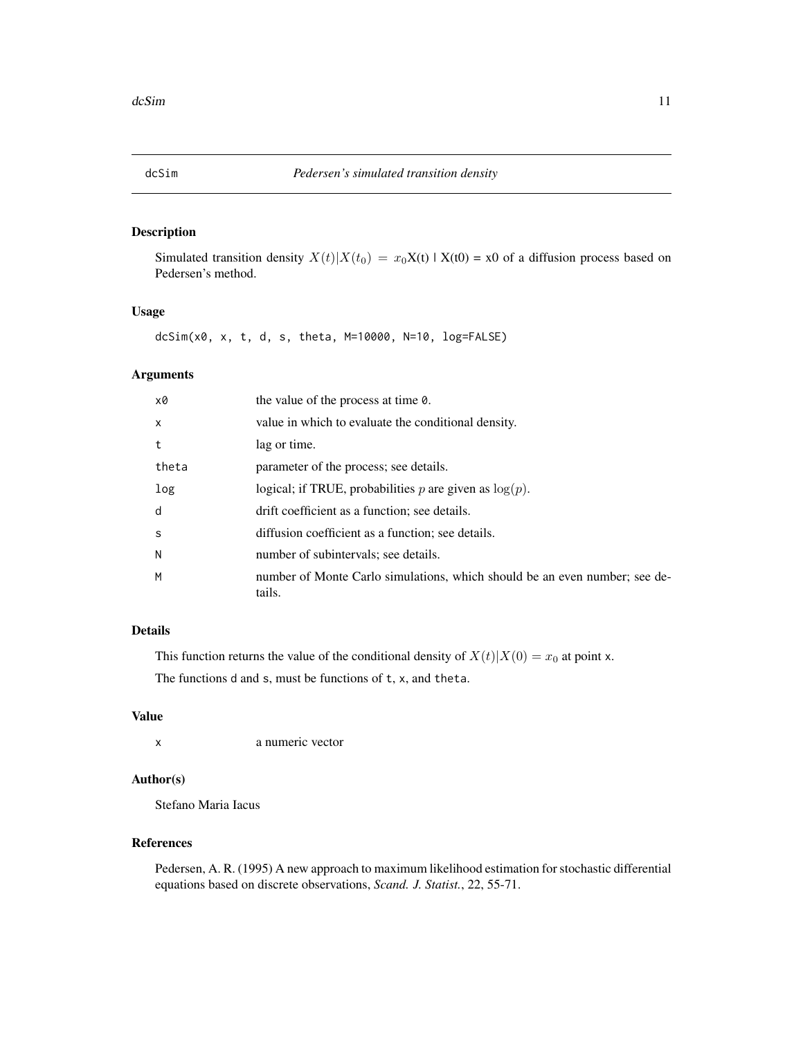<span id="page-10-0"></span>Simulated transition density  $X(t)|X(t_0) = x_0X(t) | X(t_0) = x_0$  of a diffusion process based on Pedersen's method.

# Usage

dcSim(x0, x, t, d, s, theta, M=10000, N=10, log=FALSE)

# Arguments

| x0           | the value of the process at time 0.                                                  |
|--------------|--------------------------------------------------------------------------------------|
| $\mathsf{x}$ | value in which to evaluate the conditional density.                                  |
| t            | lag or time.                                                                         |
| theta        | parameter of the process; see details.                                               |
| log          | logical; if TRUE, probabilities p are given as $log(p)$ .                            |
| d            | drift coefficient as a function; see details.                                        |
| <sub>S</sub> | diffusion coefficient as a function; see details.                                    |
| N            | number of subintervals; see details.                                                 |
| M            | number of Monte Carlo simulations, which should be an even number; see de-<br>tails. |

# Details

This function returns the value of the conditional density of  $X(t)|X(0) = x_0$  at point x. The functions d and s, must be functions of t, x, and theta.

#### Value

x a numeric vector

# Author(s)

Stefano Maria Iacus

# References

Pedersen, A. R. (1995) A new approach to maximum likelihood estimation for stochastic differential equations based on discrete observations, *Scand. J. Statist.*, 22, 55-71.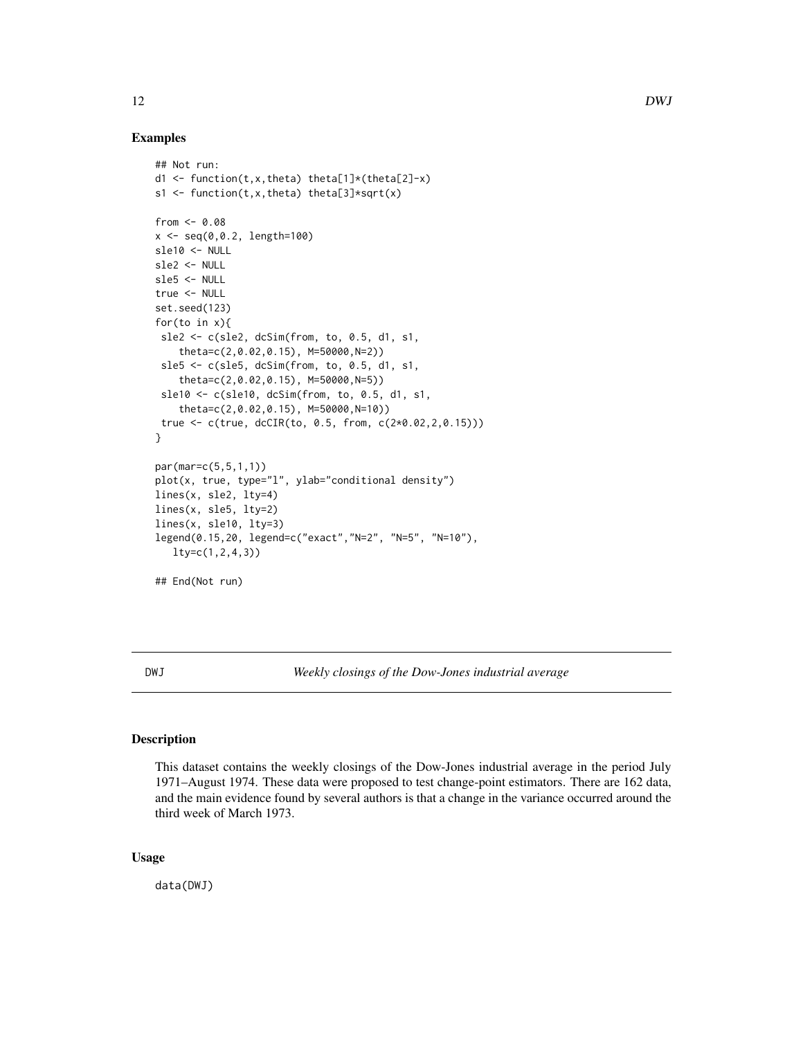#### Examples

```
## Not run:
d1 <- function(t,x,theta) theta[1]*(theta[2]-x)
s1 <- function(t,x,theta) theta[3]*sqrt(x)
from <-0.08x <- seq(0,0.2, length=100)
sle10 <- NULL
sle2 <- NULL
sle5 <- NULL
true <- NULL
set.seed(123)
for(to in x){
 sle2 <- c(sle2, dcSim(from, to, 0.5, d1, s1,
    theta=c(2,0.02,0.15), M=50000,N=2))
 sle5 <- c(sle5, dcSim(from, to, 0.5, d1, s1,
    theta=c(2,0.02,0.15), M=50000,N=5))
 sle10 <- c(sle10, dcSim(from, to, 0.5, d1, s1,
    theta=c(2,0.02,0.15), M=50000,N=10))
 true <- c(true, dcCIR(to, 0.5, from, c(2*0.02,2,0.15)))
}
par(mar=c(5,5,1,1))
plot(x, true, type="l", ylab="conditional density")
lines(x, sle2, lty=4)
lines(x, sle5, lty=2)
lines(x, sle10, lty=3)
legend(0.15,20, legend=c("exact","N=2", "N=5", "N=10"),
   lty=c(1,2,4,3))
## End(Not run)
```
DWJ *Weekly closings of the Dow-Jones industrial average*

#### Description

This dataset contains the weekly closings of the Dow-Jones industrial average in the period July 1971–August 1974. These data were proposed to test change-point estimators. There are 162 data, and the main evidence found by several authors is that a change in the variance occurred around the third week of March 1973.

#### Usage

data(DWJ)

<span id="page-11-0"></span>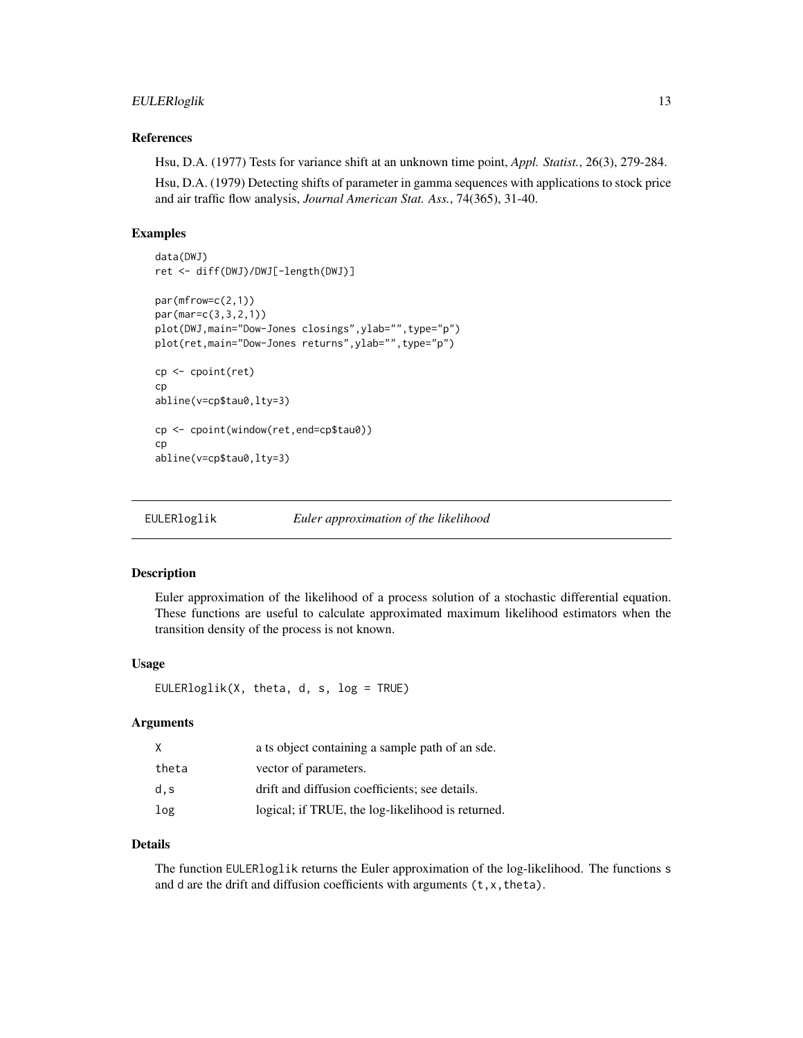# <span id="page-12-0"></span>EULERloglik 13

#### References

Hsu, D.A. (1977) Tests for variance shift at an unknown time point, *Appl. Statist.*, 26(3), 279-284.

Hsu, D.A. (1979) Detecting shifts of parameter in gamma sequences with applications to stock price and air traffic flow analysis, *Journal American Stat. Ass.*, 74(365), 31-40.

#### Examples

```
data(DWJ)
ret <- diff(DWJ)/DWJ[-length(DWJ)]
par(mfrow=c(2,1))
par(mar=c(3,3,2,1))
plot(DWJ,main="Dow-Jones closings",ylab="",type="p")
plot(ret,main="Dow-Jones returns", ylab="", type="p")
cp <- cpoint(ret)
cp
abline(v=cp$tau0,lty=3)
cp <- cpoint(window(ret,end=cp$tau0))
cp
abline(v=cp$tau0,lty=3)
```
EULERloglik *Euler approximation of the likelihood*

#### Description

Euler approximation of the likelihood of a process solution of a stochastic differential equation. These functions are useful to calculate approximated maximum likelihood estimators when the transition density of the process is not known.

#### Usage

```
EULERloglik(X, theta, d, s, log = TRUE)
```
#### Arguments

| X     | a ts object containing a sample path of an sde.   |
|-------|---------------------------------------------------|
| theta | vector of parameters.                             |
| d.s   | drift and diffusion coefficients: see details.    |
| log   | logical; if TRUE, the log-likelihood is returned. |

# Details

The function EULERloglik returns the Euler approximation of the log-likelihood. The functions s and d are the drift and diffusion coefficients with arguments  $(t, x, t)$ heta).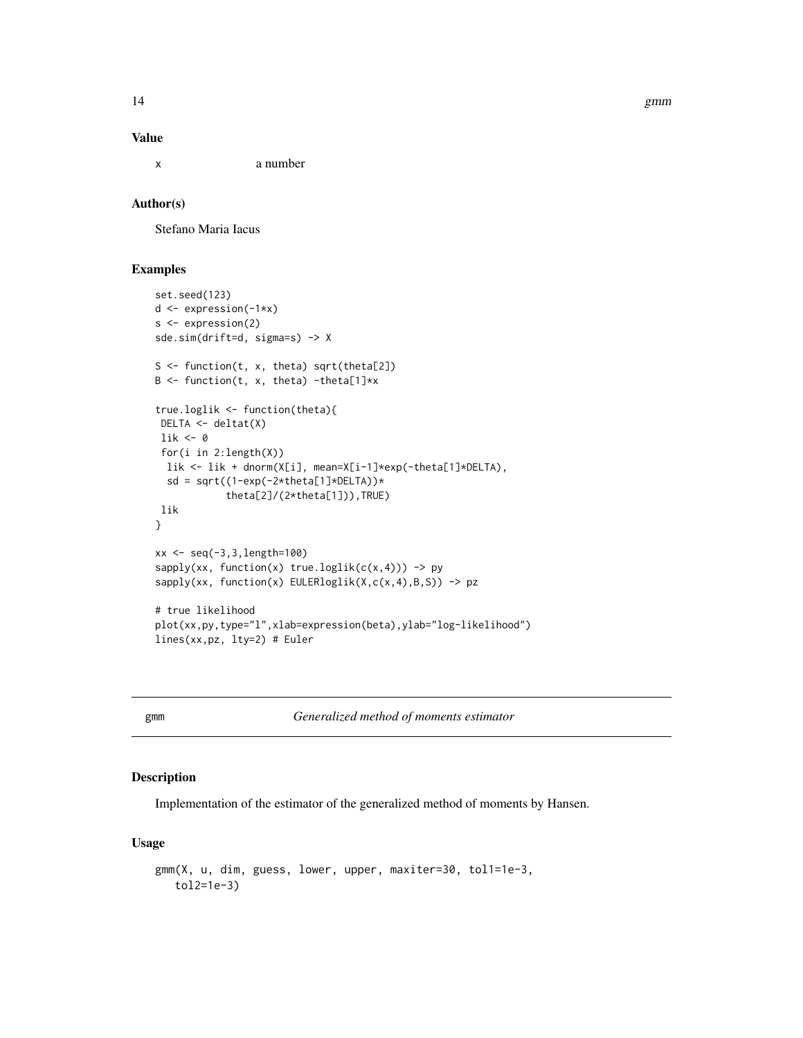<span id="page-13-0"></span>14 gmm

#### Value

x a number

#### Author(s)

Stefano Maria Iacus

#### Examples

```
set.seed(123)
d <- expression(-1*x)
s <- expression(2)
sde.sim(drift=d, sigma=s) -> X
S <- function(t, x, theta) sqrt(theta[2])
B <- function(t, x, theta) -theta[1]*x
true.loglik <- function(theta){
DELTA <- deltat(X)
lik <- 0
 for(i in 2:length(X))
 lik <- lik + dnorm(X[i], mean=X[i-1]*exp(-theta[1]*DELTA),
  sd = sqrt((1-exp(-2*theta[1]*DELTA))*theta[2]/(2*theta[1])),TRUE)
lik
}
xx < - seq(-3, 3, length=100)
sapply(xx, function(x) true.loglik(c(x,4))) \rightarrow pysapply(xx, function(x) EULERloglik(X,c(x,4),B,S)) -> pz
# true likelihood
plot(xx,py,type="l",xlab=expression(beta),ylab="log-likelihood")
lines(xx,pz, lty=2) # Euler
```
gmm *Generalized method of moments estimator*

#### Description

Implementation of the estimator of the generalized method of moments by Hansen.

# Usage

```
gmm(X, u, dim, guess, lower, upper, maxiter=30, tol1=1e-3,
   tol2=1e-3)
```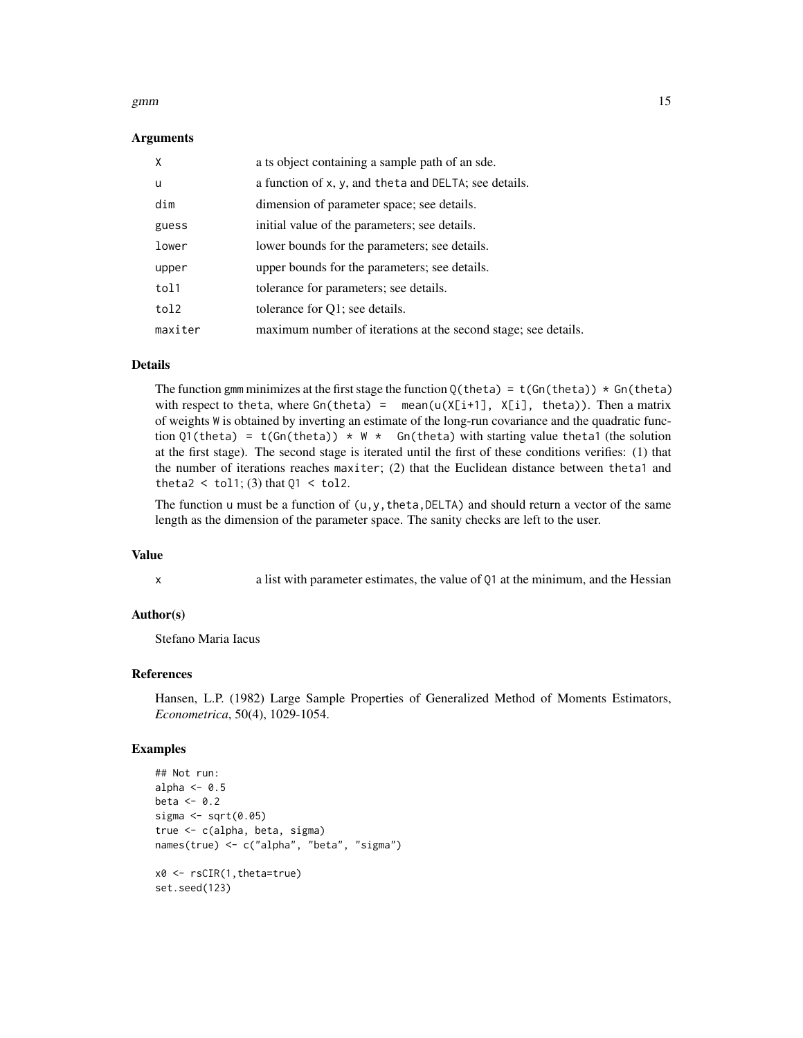#### gmm  $15$

#### Arguments

| $\mathsf{x}$ | a ts object containing a sample path of an sde.                |
|--------------|----------------------------------------------------------------|
| <b>u</b>     | a function of x, y, and the ta and DELTA; see details.         |
| dim          | dimension of parameter space; see details.                     |
| guess        | initial value of the parameters; see details.                  |
| lower        | lower bounds for the parameters; see details.                  |
| upper        | upper bounds for the parameters; see details.                  |
| tol1         | tolerance for parameters; see details.                         |
| tol2         | tolerance for Q1; see details.                                 |
| maxiter      | maximum number of iterations at the second stage; see details. |

#### Details

The function gmm minimizes at the first stage the function  $Q(\theta) = t(\text{Gn}(\theta)) * \text{Gn}(\theta)$ with respect to theta, where  $Gn(theta) = \text{mean}(u(X[i+1], X[i], theta))$ . Then a matrix of weights W is obtained by inverting an estimate of the long-run covariance and the quadratic function Q1(theta) = t(Gn(theta))  $*$  W  $*$  Gn(theta) with starting value theta1 (the solution at the first stage). The second stage is iterated until the first of these conditions verifies: (1) that the number of iterations reaches maxiter; (2) that the Euclidean distance between theta1 and theta2 < tol1; (3) that  $Q1$  < tol2.

The function u must be a function of  $(u, y, t)$  heta, DELTA) and should return a vector of the same length as the dimension of the parameter space. The sanity checks are left to the user.

# Value

x a list with parameter estimates, the value of Q1 at the minimum, and the Hessian

#### Author(s)

Stefano Maria Iacus

#### References

Hansen, L.P. (1982) Large Sample Properties of Generalized Method of Moments Estimators, *Econometrica*, 50(4), 1029-1054.

```
## Not run:
alpha <-0.5beta <-0.2sigma \leq sqrt(0.05)true <- c(alpha, beta, sigma)
names(true) <- c("alpha", "beta", "sigma")
x0 <- rsCIR(1,theta=true)
set.seed(123)
```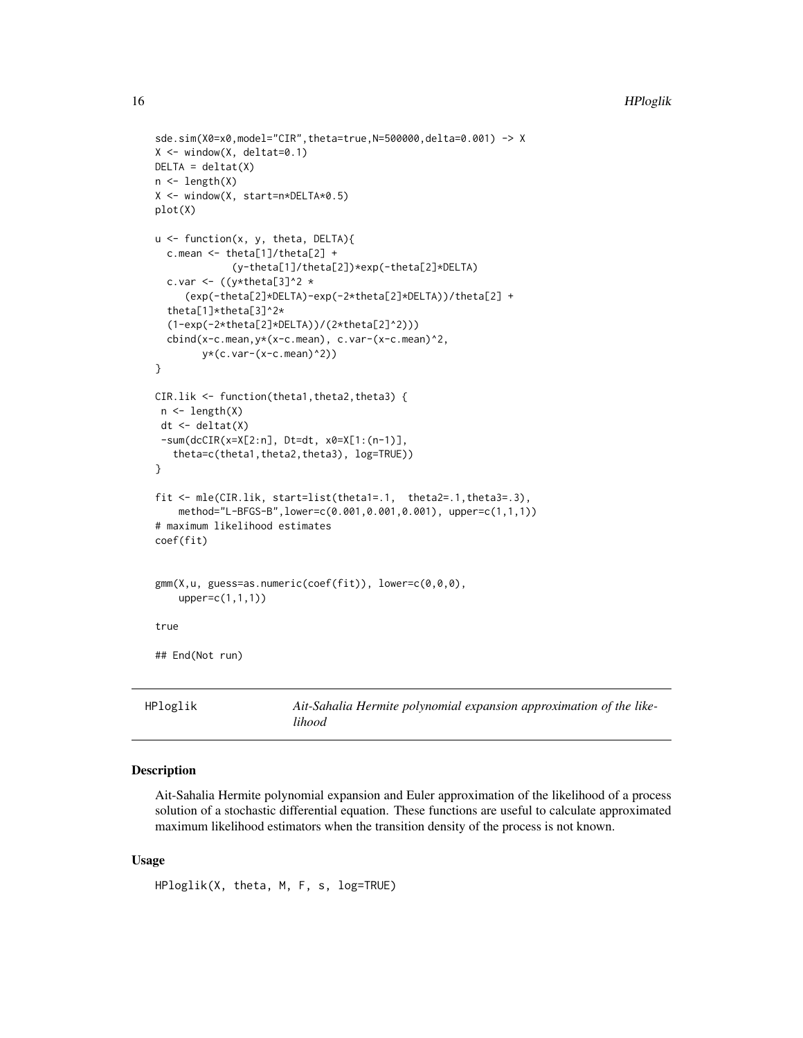```
sde.sim(X0=x0,model="CIR",theta=true,N=500000,delta=0.001) -> X
X \leftarrow window(X, delta=0.1)DELTA = delta(X)n \leftarrow length(X)X <- window(X, start=n*DELTA*0.5)
plot(X)
u <- function(x, y, theta, DELTA){
  c.mean <- theta[1]/theta[2] +
             (y-theta[1]/theta[2])*exp(-theta[2]*DELTA)
  c.var <- ((y * theta[3]^2 *(exp(-theta[2]*DELTA)-exp(-2*theta[2]*DELTA))/theta[2] +
  theta[1]*theta[3]^2*
  (1-exp(-2*theta[2]*DELTA))/(2*theta[2]^2)))
  cbind(x-c.mean,y*(x-c.mean), c.var-(x-c.mean)^2,
        y*(c.var-(x-c.mean)^2))
}
CIR.lik <- function(theta1,theta2,theta3) {
 n <- length(X)
 dt <- deltat(X)
 -sum(dcCIR(x=X[2:n], Dt=dt, x0=X[1:(n-1)],
   theta=c(theta1,theta2,theta3), log=TRUE))
}
fit <- mle(CIR.lik, start=list(theta1=.1, theta2=.1,theta3=.3),
    method="L-BFGS-B",lower=c(0.001,0.001,0.001), upper=c(1,1,1))
# maximum likelihood estimates
coef(fit)
gmm(X,u, guess=as.numeric(coef(fit)), lower=c(0,0,0),
    upper=c(1,1,1))
true
## End(Not run)
```
HPloglik *Ait-Sahalia Hermite polynomial expansion approximation of the likelihood*

#### **Description**

Ait-Sahalia Hermite polynomial expansion and Euler approximation of the likelihood of a process solution of a stochastic differential equation. These functions are useful to calculate approximated maximum likelihood estimators when the transition density of the process is not known.

#### Usage

HPloglik(X, theta, M, F, s, log=TRUE)

<span id="page-15-0"></span>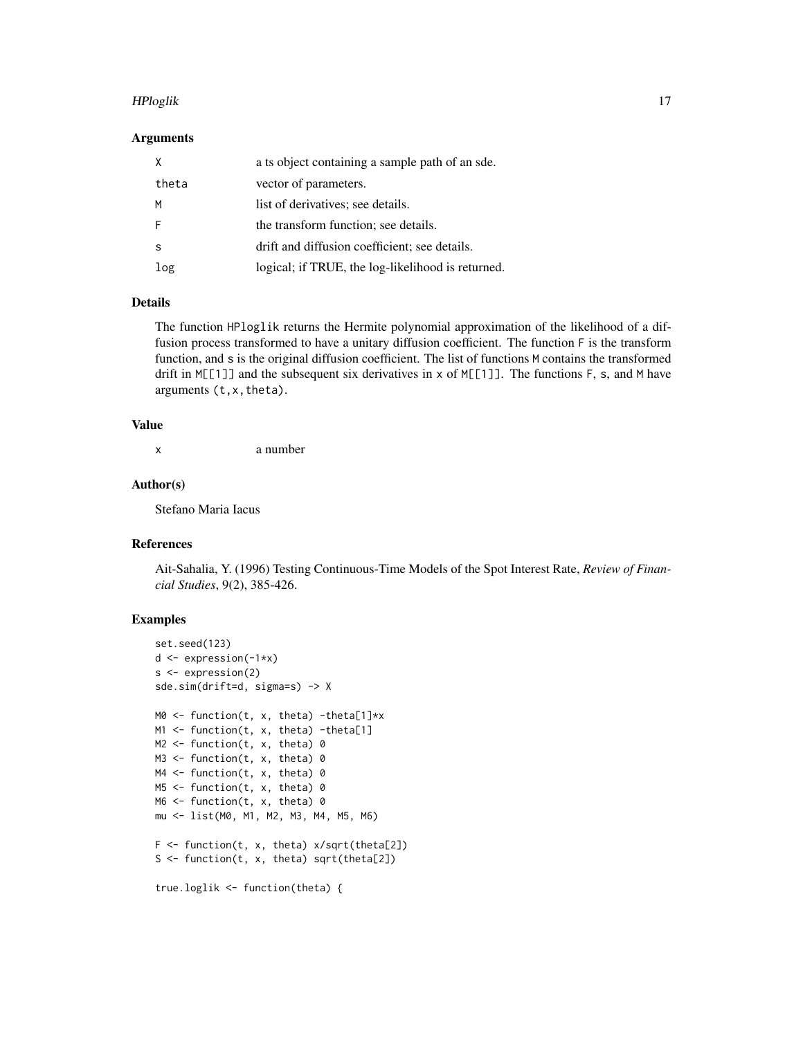#### HPloglik 17

#### Arguments

| χ     | a ts object containing a sample path of an sde.   |
|-------|---------------------------------------------------|
| theta | vector of parameters.                             |
| м     | list of derivatives; see details.                 |
|       | the transform function; see details.              |
| S     | drift and diffusion coefficient; see details.     |
| log   | logical; if TRUE, the log-likelihood is returned. |

# Details

The function HPloglik returns the Hermite polynomial approximation of the likelihood of a diffusion process transformed to have a unitary diffusion coefficient. The function F is the transform function, and s is the original diffusion coefficient. The list of functions M contains the transformed drift in M[[1]] and the subsequent six derivatives in x of M[[1]]. The functions F, s, and M have arguments (t,x,theta).

#### Value

x a number

#### Author(s)

Stefano Maria Iacus

#### **References**

Ait-Sahalia, Y. (1996) Testing Continuous-Time Models of the Spot Interest Rate, *Review of Financial Studies*, 9(2), 385-426.

```
set.seed(123)
d <- expression(-1*x)
s <- expression(2)
sde.sim(drift=d, sigma=s) -> X
MO \leq function(t, x, theta) -theta[1]*x
M1 <- function(t, x, theta) -theta[1]
M2 <- function(t, x, theta) 0
M3 <- function(t, x, theta) 0
M4 \leftarrow function(t, x, theta) 0MS \leftarrow function(t, x, theta) 0M6 <- function(t, x, theta) 0
mu <- list(M0, M1, M2, M3, M4, M5, M6)
F <- function(t, x, theta) x/sqrt(theta[2])
S <- function(t, x, theta) sqrt(theta[2])
true.loglik <- function(theta) {
```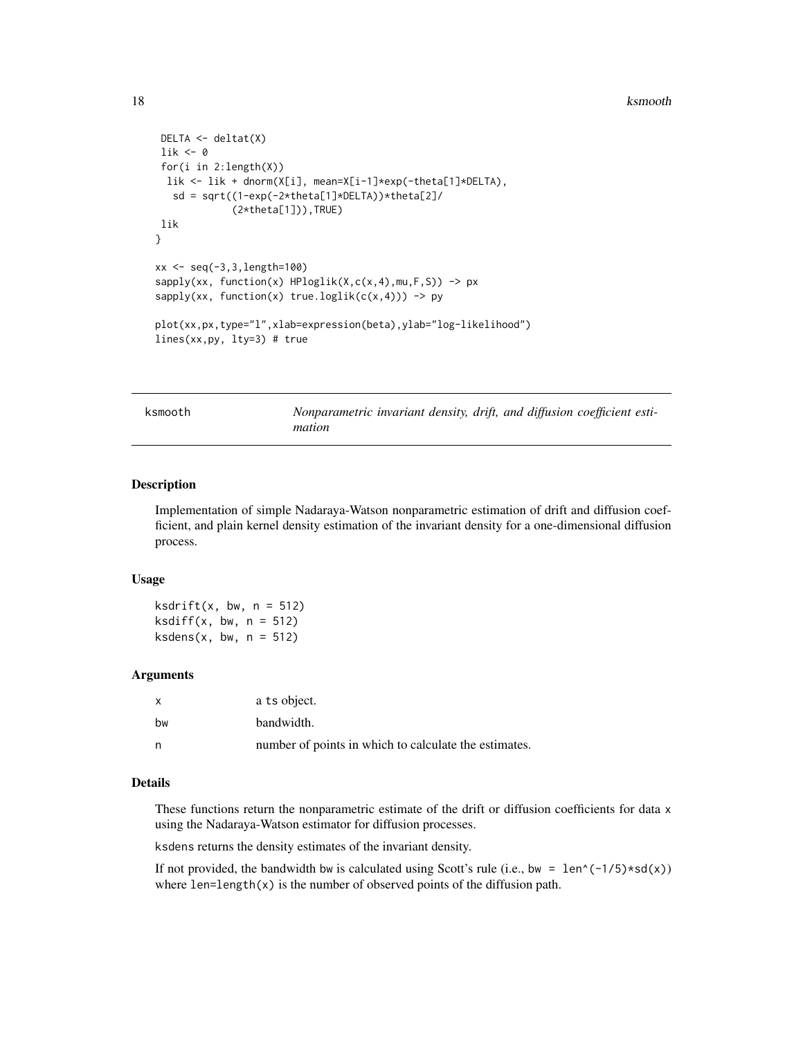#### <span id="page-17-0"></span>18 ksmooth and the set of the set of the set of the set of the set of the set of the set of the set of the set of the set of the set of the set of the set of the set of the set of the set of the set of the set of the set o

```
DELTA <- deltat(X)
lik <- 0
 for(i in 2:length(X))
 lik <- lik + dnorm(X[i], mean=X[i-1]*exp(-theta[1]*DELTA),
  sd = sqrt((1-exp(-2*theta[1]*DELTA))*theta[2]/(2*theta[1])),TRUE)
lik
}
xx <- seq(-3,3,length=100)
sapply(xx, function(x) HPloglik(X, c(x, 4), mu, F, S)) \rightarrow pxsapply(xx, function(x) true.loglik(c(x,4))) \rightarrow pyplot(xx,px,type="l",xlab=expression(beta),ylab="log-likelihood")
lines(xx,py, lty=3) # true
```
ksmooth *Nonparametric invariant density, drift, and diffusion coefficient estimation*

#### **Description**

Implementation of simple Nadaraya-Watson nonparametric estimation of drift and diffusion coefficient, and plain kernel density estimation of the invariant density for a one-dimensional diffusion process.

#### Usage

ksdrift $(x, bw, n = 512)$  $ksdiff(x, bw, n = 512)$  $ksdens(x, bw, n = 512)$ 

#### Arguments

| $\mathsf{x}$ | a ts object.                                          |
|--------------|-------------------------------------------------------|
| bw           | bandwidth.                                            |
| n            | number of points in which to calculate the estimates. |

#### Details

These functions return the nonparametric estimate of the drift or diffusion coefficients for data x using the Nadaraya-Watson estimator for diffusion processes.

ksdens returns the density estimates of the invariant density.

If not provided, the bandwidth bw is calculated using Scott's rule (i.e., bw = len^(-1/5)\*sd(x)) where  $len = length(x)$  is the number of observed points of the diffusion path.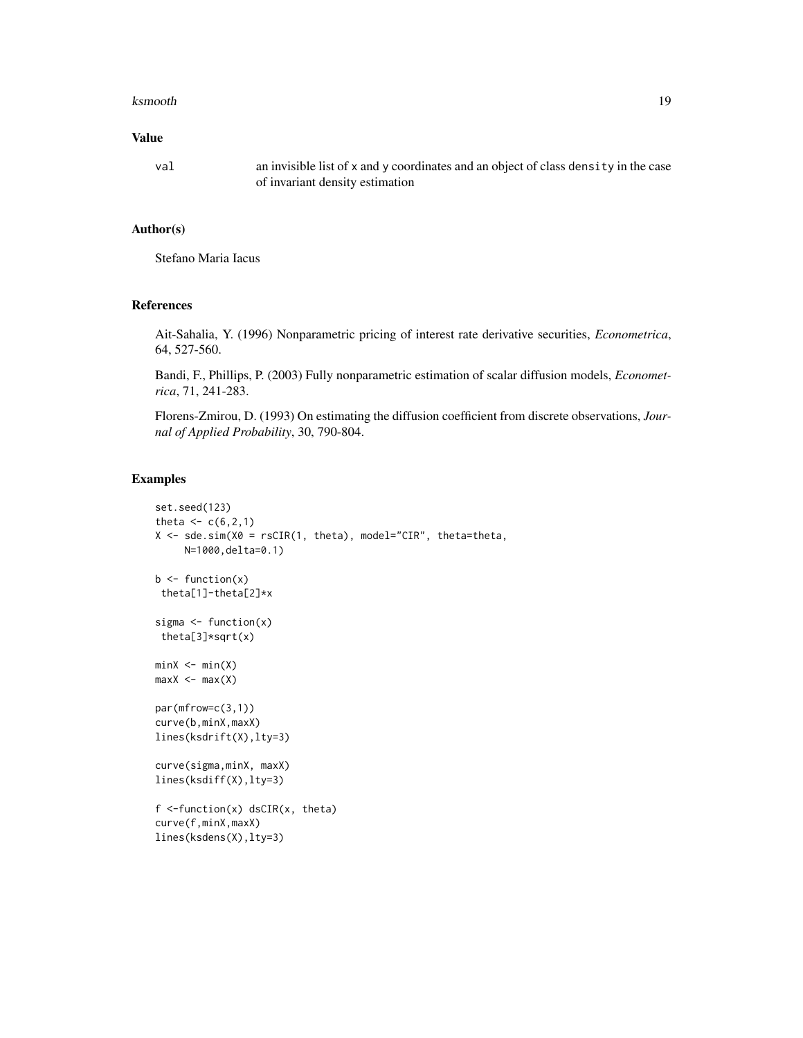#### ksmooth and the state of the state of the state of the state of the state of the state of the state of the state of the state of the state of the state of the state of the state of the state of the state of the state of th

# Value

val an invisible list of x and y coordinates and an object of class density in the case of invariant density estimation

# Author(s)

Stefano Maria Iacus

# References

Ait-Sahalia, Y. (1996) Nonparametric pricing of interest rate derivative securities, *Econometrica*, 64, 527-560.

Bandi, F., Phillips, P. (2003) Fully nonparametric estimation of scalar diffusion models, *Econometrica*, 71, 241-283.

Florens-Zmirou, D. (1993) On estimating the diffusion coefficient from discrete observations, *Journal of Applied Probability*, 30, 790-804.

```
set.seed(123)
theta <-c(6, 2, 1)X \le - sde.sim(X0 = rsCIR(1, theta), model="CIR", theta=theta,
     N=1000,delta=0.1)
b \leftarrow function(x)theta[1]-theta[2]*x
sigma \leq function(x)
 theta[3]*sqrt(x)
minX < - min(X)maxX < - max(X)par(mfrow=c(3,1))
curve(b,minX,maxX)
lines(ksdrift(X),lty=3)
curve(sigma,minX, maxX)
lines(ksdiff(X),lty=3)
f <-function(x) dsCIR(x, theta)
curve(f,minX,maxX)
lines(ksdens(X),lty=3)
```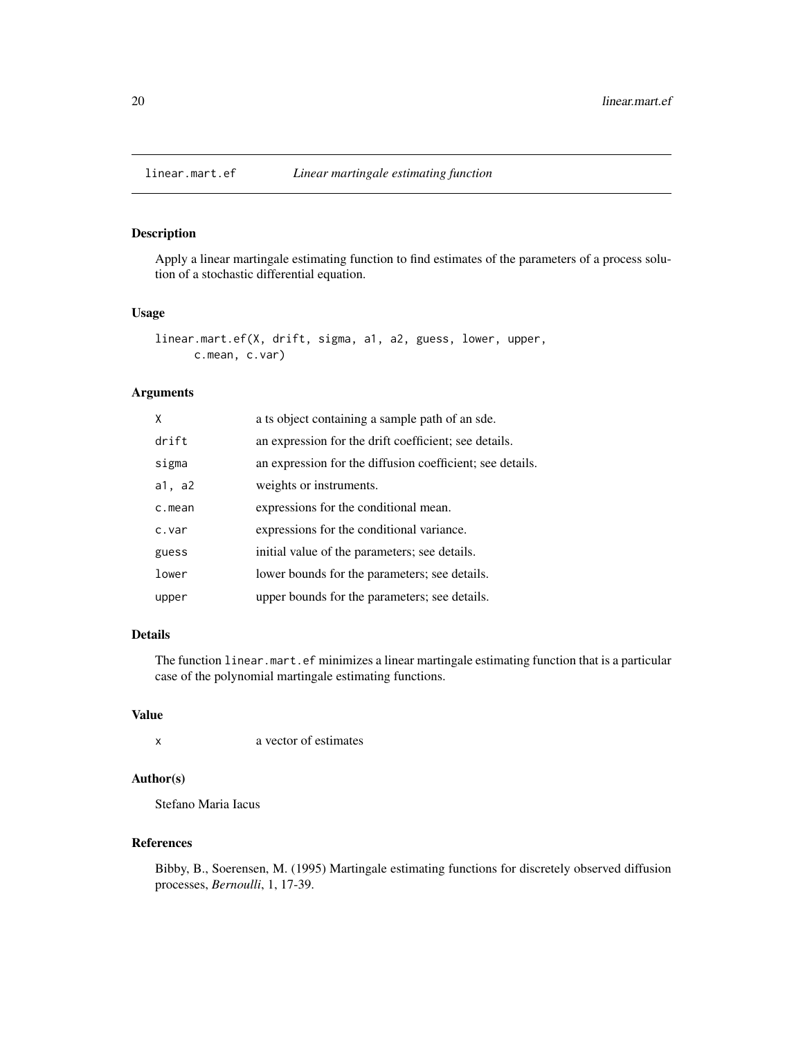<span id="page-19-0"></span>

Apply a linear martingale estimating function to find estimates of the parameters of a process solution of a stochastic differential equation.

### Usage

```
linear.mart.ef(X, drift, sigma, a1, a2, guess, lower, upper,
     c.mean, c.var)
```
#### Arguments

| X      | a ts object containing a sample path of an sde.           |
|--------|-----------------------------------------------------------|
| drift  | an expression for the drift coefficient; see details.     |
| sigma  | an expression for the diffusion coefficient; see details. |
| a1, a2 | weights or instruments.                                   |
| c.mean | expressions for the conditional mean.                     |
| c.var  | expressions for the conditional variance.                 |
| guess  | initial value of the parameters; see details.             |
| lower  | lower bounds for the parameters; see details.             |
| upper  | upper bounds for the parameters; see details.             |

# Details

The function linear.mart.ef minimizes a linear martingale estimating function that is a particular case of the polynomial martingale estimating functions.

#### Value

```
x a vector of estimates
```
# Author(s)

Stefano Maria Iacus

# References

Bibby, B., Soerensen, M. (1995) Martingale estimating functions for discretely observed diffusion processes, *Bernoulli*, 1, 17-39.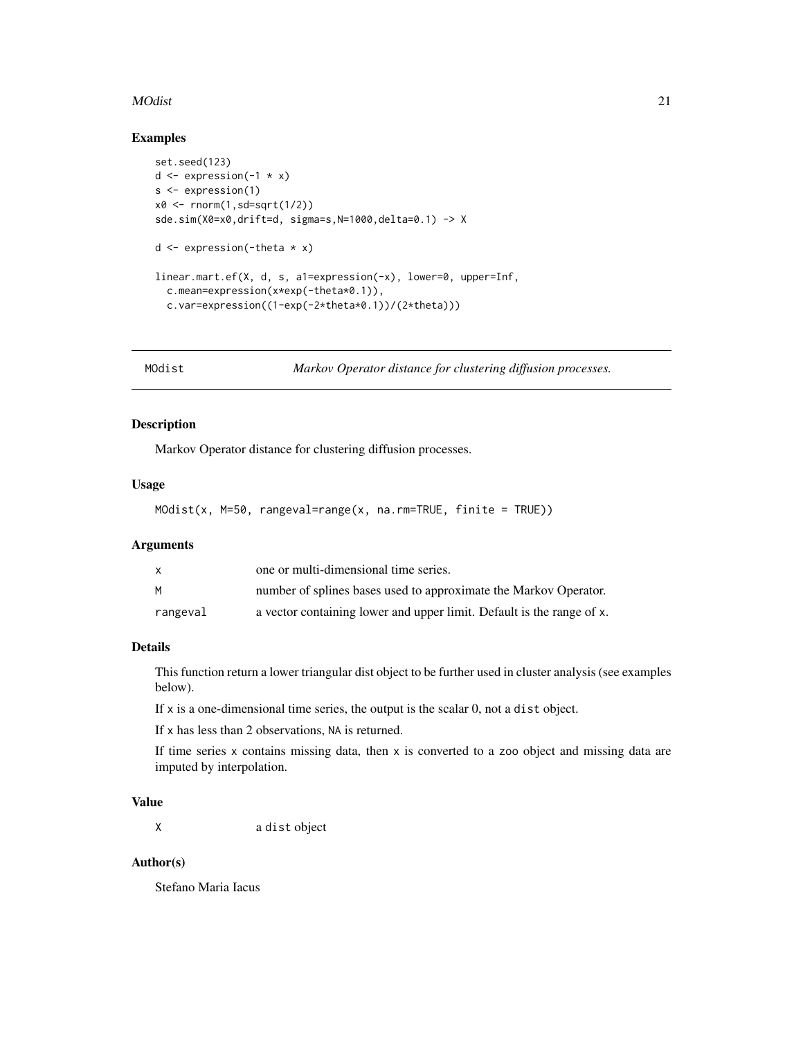#### <span id="page-20-0"></span>MOdist 21

#### Examples

```
set.seed(123)
d \leq - expression(-1 \times x)
s <- expression(1)
x0 <- rnorm(1,sd=sqrt(1/2))
sde.sim(X0=x0,drift=d, sigma=s,N=1000,delta=0.1) -> X
d \leftarrow expression(-theta * x)
linear.mart.ef(X, d, s, a1=expression(-x), lower=0, upper=Inf,
  c.mean=expression(x*exp(-theta*0.1)),
  c.var=expression((1-exp(-2*theta*0.1))/(2*theta)))
```
MOdist *Markov Operator distance for clustering diffusion processes.*

# Description

Markov Operator distance for clustering diffusion processes.

#### Usage

```
MOdist(x, M=50, rangeval=range(x, na.rm=TRUE, finite = TRUE))
```
#### Arguments

| x        | one or multi-dimensional time series.                                 |
|----------|-----------------------------------------------------------------------|
| м        | number of splines bases used to approximate the Markov Operator.      |
| rangeval | a vector containing lower and upper limit. Default is the range of x. |

# Details

This function return a lower triangular dist object to be further used in cluster analysis (see examples below).

If x is a one-dimensional time series, the output is the scalar 0, not a dist object.

If x has less than 2 observations, NA is returned.

If time series  $x$  contains missing data, then  $x$  is converted to a zoo object and missing data are imputed by interpolation.

#### Value

X a dist object

#### Author(s)

Stefano Maria Iacus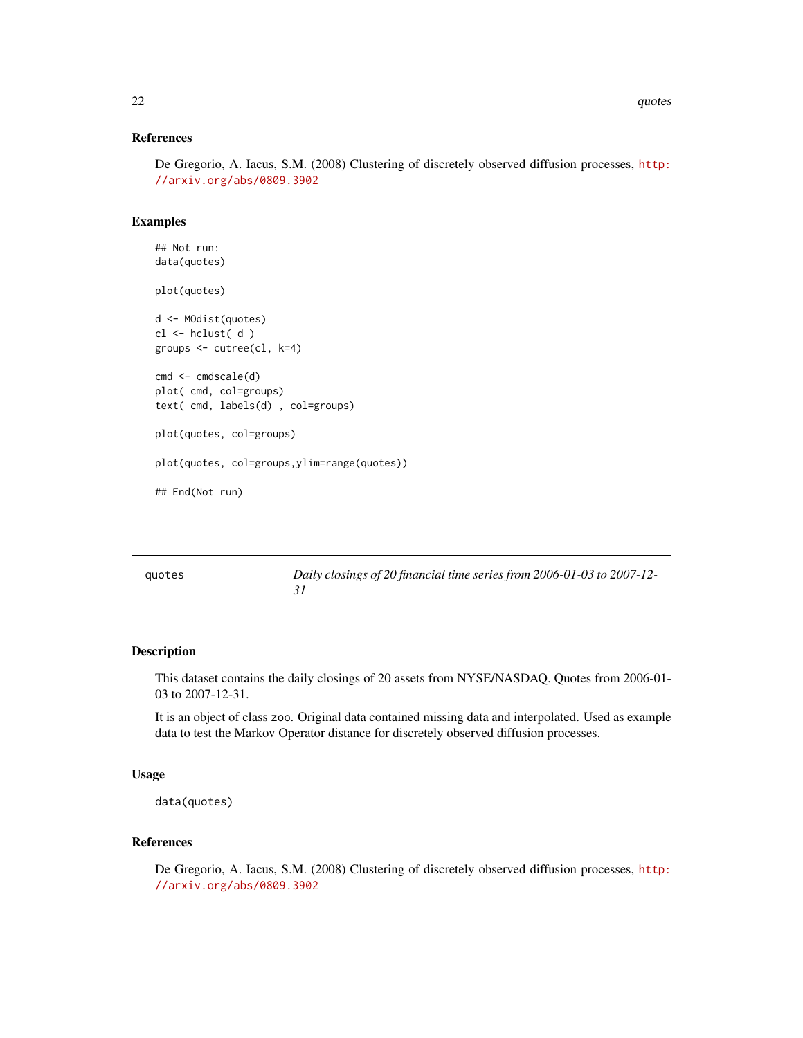#### <span id="page-21-0"></span>References

De Gregorio, A. Iacus, S.M. (2008) Clustering of discretely observed diffusion processes, [http:](http://arxiv.org/abs/0809.3902) [//arxiv.org/abs/0809.3902](http://arxiv.org/abs/0809.3902)

#### Examples

```
## Not run:
data(quotes)
plot(quotes)
d <- MOdist(quotes)
cl \leftarrow \text{hclust}( d )groups <- cutree(cl, k=4)
cmd <- cmdscale(d)
plot( cmd, col=groups)
text( cmd, labels(d) , col=groups)
plot(quotes, col=groups)
plot(quotes, col=groups,ylim=range(quotes))
## End(Not run)
```

| quotes | Daily closings of 20 financial time series from 2006-01-03 to 2007-12- |
|--------|------------------------------------------------------------------------|
|        |                                                                        |

# Description

This dataset contains the daily closings of 20 assets from NYSE/NASDAQ. Quotes from 2006-01- 03 to 2007-12-31.

It is an object of class zoo. Original data contained missing data and interpolated. Used as example data to test the Markov Operator distance for discretely observed diffusion processes.

#### Usage

data(quotes)

# References

De Gregorio, A. Iacus, S.M. (2008) Clustering of discretely observed diffusion processes, [http:](http://arxiv.org/abs/0809.3902) [//arxiv.org/abs/0809.3902](http://arxiv.org/abs/0809.3902)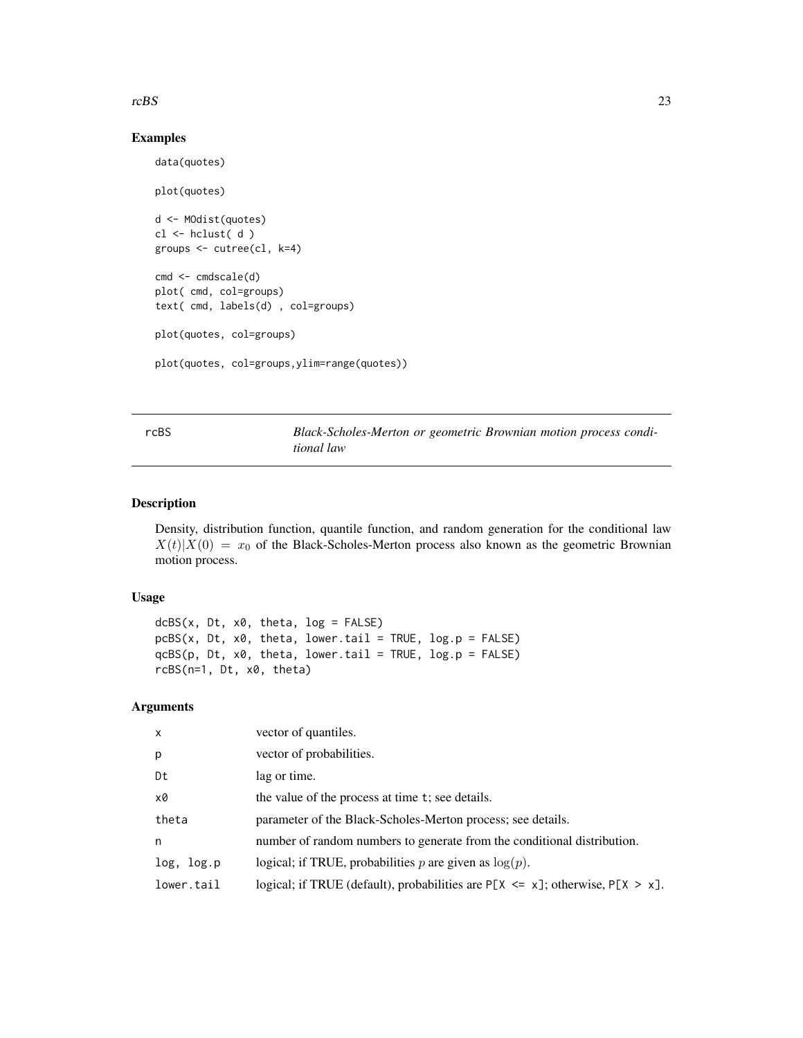#### <span id="page-22-0"></span>rcBS 23

# Examples

```
data(quotes)
plot(quotes)
d <- MOdist(quotes)
cl <- hclust( d )
groups <- cutree(cl, k=4)
cmd \leftarrow cmdscale(d)plot( cmd, col=groups)
text( cmd, labels(d) , col=groups)
plot(quotes, col=groups)
plot(quotes, col=groups,ylim=range(quotes))
```
rcBS *Black-Scholes-Merton or geometric Brownian motion process conditional law*

# Description

Density, distribution function, quantile function, and random generation for the conditional law  $X(t)|X(0) = x_0$  of the Black-Scholes-Merton process also known as the geometric Brownian motion process.

#### Usage

```
dcBS(x, Dt, x0, theta, log = FALSE)pCBS(x, Dt, x0, theta, lowertail = TRUE, log.p = FALSE)
qcBS(p, Dt, x0, theta, lower.tail = TRUE, log.p = FALSE)
rcBS(n=1, Dt, x0, theta)
```
# Arguments

| $\mathsf{x}$ | vector of quantiles.                                                                 |
|--------------|--------------------------------------------------------------------------------------|
| p            | vector of probabilities.                                                             |
| Dt           | lag or time.                                                                         |
| x0           | the value of the process at time t; see details.                                     |
| theta        | parameter of the Black-Scholes-Merton process; see details.                          |
| n            | number of random numbers to generate from the conditional distribution.              |
| log, log.p   | logical; if TRUE, probabilities p are given as $log(p)$ .                            |
| lower.tail   | logical; if TRUE (default), probabilities are $P[X \le x]$ ; otherwise, $P[X > x]$ . |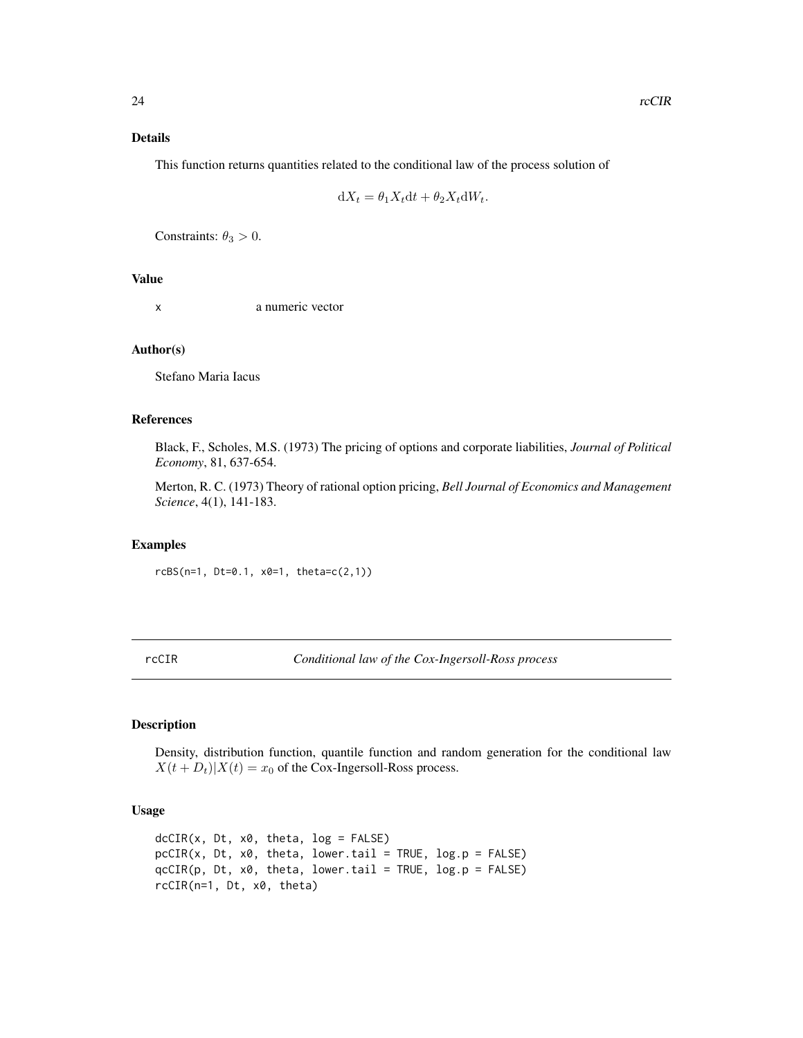#### <span id="page-23-0"></span>Details

This function returns quantities related to the conditional law of the process solution of

$$
dX_t = \theta_1 X_t dt + \theta_2 X_t dW_t.
$$

Constraints:  $\theta_3 > 0$ .

#### Value

x a numeric vector

#### Author(s)

Stefano Maria Iacus

#### References

Black, F., Scholes, M.S. (1973) The pricing of options and corporate liabilities, *Journal of Political Economy*, 81, 637-654.

Merton, R. C. (1973) Theory of rational option pricing, *Bell Journal of Economics and Management Science*, 4(1), 141-183.

#### Examples

rcBS(n=1, Dt=0.1, x0=1, theta=c(2,1))

rcCIR *Conditional law of the Cox-Ingersoll-Ross process*

#### Description

Density, distribution function, quantile function and random generation for the conditional law  $X(t + D_t)|X(t) = x_0$  of the Cox-Ingersoll-Ross process.

#### Usage

 $dcCIR(x, Dt, x0, theta, log = FALSE)$  $pcCIR(x, Dt, x0, theta, lower$ **[a] = TRUE, log.p = FALSE** $)$ qcCIR(p, Dt, x0, theta, lower.tail = TRUE, log.p = FALSE) rcCIR(n=1, Dt, x0, theta)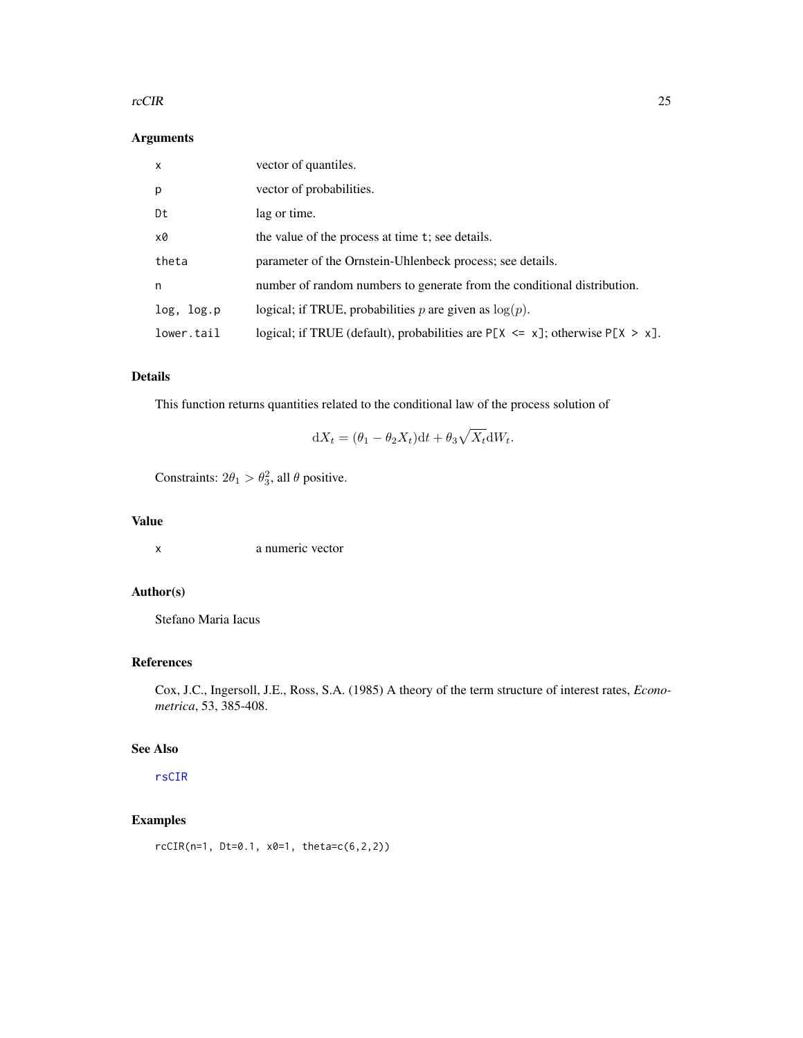#### <span id="page-24-0"></span>rcCIR 25

# Arguments

| $\mathsf{x}$ | vector of quantiles.                                                                |
|--------------|-------------------------------------------------------------------------------------|
| p            | vector of probabilities.                                                            |
| Dt           | lag or time.                                                                        |
| x0           | the value of the process at time t; see details.                                    |
| theta        | parameter of the Ornstein-Uhlenbeck process; see details.                           |
| n            | number of random numbers to generate from the conditional distribution.             |
| log, log.p   | logical; if TRUE, probabilities p are given as $log(p)$ .                           |
| lower.tail   | logical; if TRUE (default), probabilities are $P[X \le x]$ ; otherwise $P[X > x]$ . |

# Details

This function returns quantities related to the conditional law of the process solution of

$$
dX_t = (\theta_1 - \theta_2 X_t)dt + \theta_3 \sqrt{X_t}dW_t.
$$

Constraints:  $2\theta_1 > \theta_3^2$ , all  $\theta$  positive.

# Value

x a numeric vector

# Author(s)

Stefano Maria Iacus

# References

Cox, J.C., Ingersoll, J.E., Ross, S.A. (1985) A theory of the term structure of interest rates, *Econometrica*, 53, 385-408.

# See Also

[rsCIR](#page-26-1)

# Examples

 $rccIR(n=1, Dt=0.1, x0=1, theta=c(6, 2, 2))$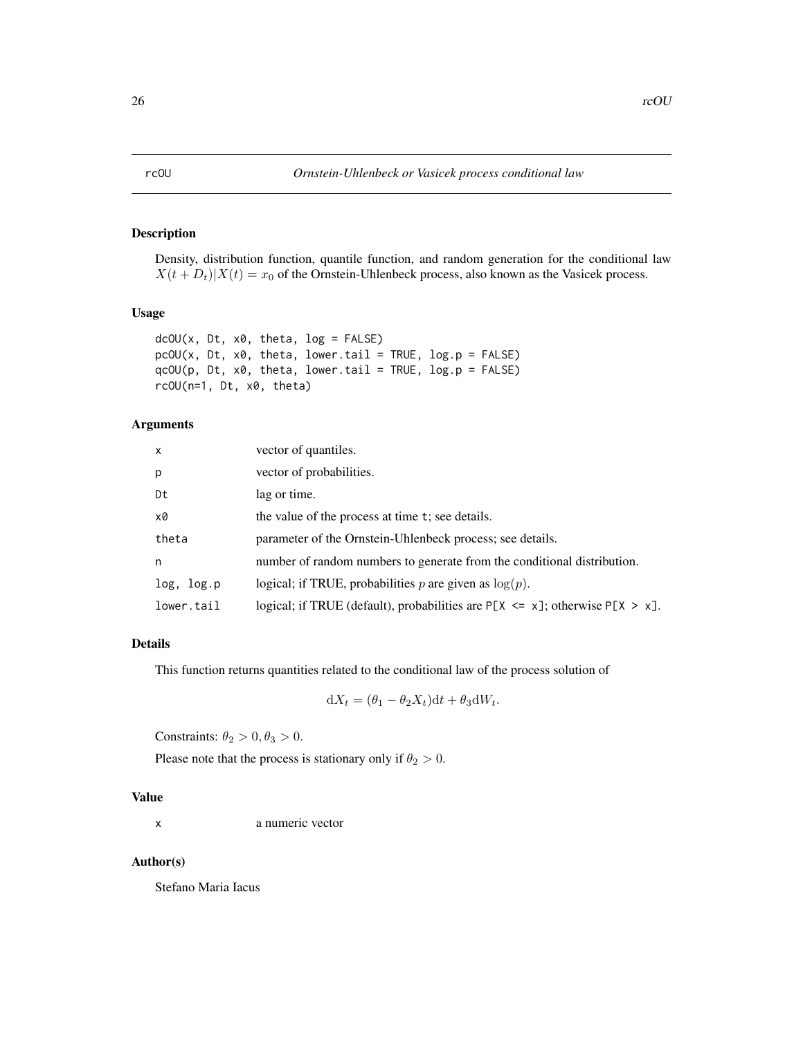<span id="page-25-1"></span><span id="page-25-0"></span>Density, distribution function, quantile function, and random generation for the conditional law  $X(t + D_t)|X(t) = x_0$  of the Ornstein-Uhlenbeck process, also known as the Vasicek process.

#### Usage

```
dcOU(x, Dt, x0, theta, log = FALSE)
pc0U(x, Dt, x0, theta, lowertail = TRUE, <math>log.p = FALSE)
qcOU(p, Dt, x0, theta, lower.tail = TRUE, log.p = FALSE)
rcOU(n=1, Dt, x0, theta)
```
# Arguments

| $\mathsf{x}$ | vector of quantiles.                                                                |
|--------------|-------------------------------------------------------------------------------------|
| p            | vector of probabilities.                                                            |
| Dt           | lag or time.                                                                        |
| x0           | the value of the process at time t; see details.                                    |
| theta        | parameter of the Ornstein-Uhlenbeck process; see details.                           |
| n            | number of random numbers to generate from the conditional distribution.             |
| log, log.p   | logical; if TRUE, probabilities p are given as $log(p)$ .                           |
| lower.tail   | logical; if TRUE (default), probabilities are $P[X \le x]$ ; otherwise $P[X > x]$ . |

# Details

This function returns quantities related to the conditional law of the process solution of

$$
dX_t = (\theta_1 - \theta_2 X_t)dt + \theta_3 dW_t.
$$

Constraints:  $\theta_2 > 0, \theta_3 > 0$ .

Please note that the process is stationary only if  $\theta_2 > 0$ .

# Value

x a numeric vector

#### Author(s)

Stefano Maria Iacus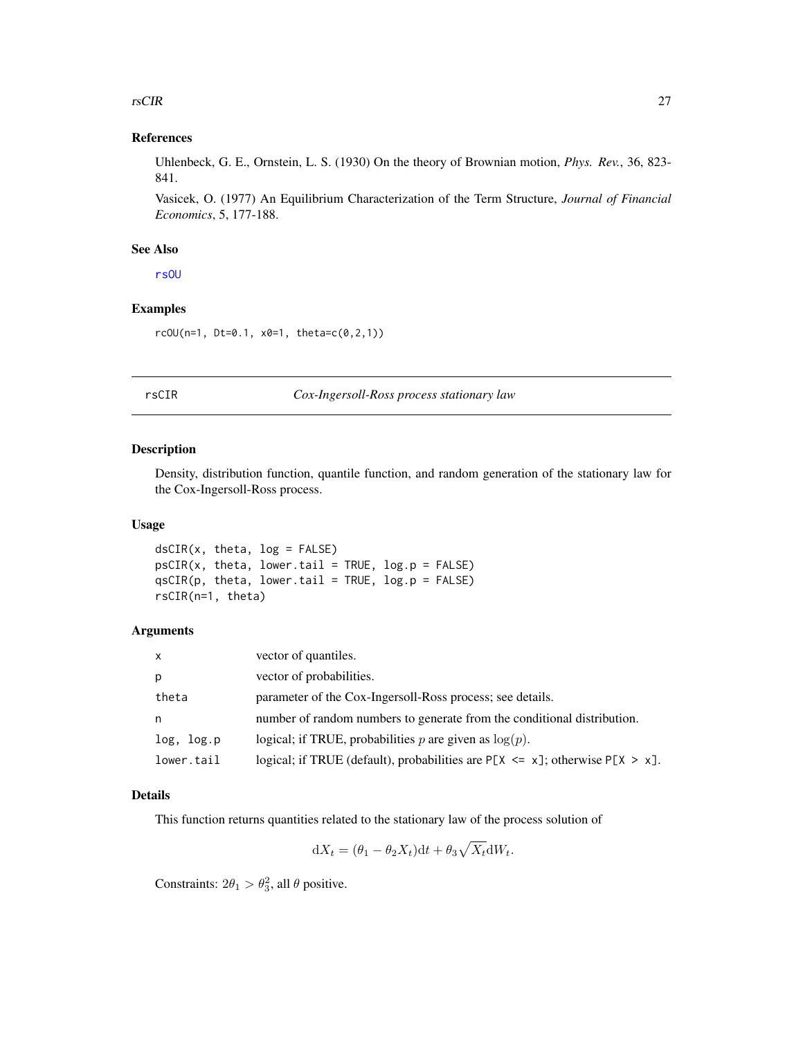#### <span id="page-26-0"></span>rsCIR 27

# References

Uhlenbeck, G. E., Ornstein, L. S. (1930) On the theory of Brownian motion, *Phys. Rev.*, 36, 823- 841.

Vasicek, O. (1977) An Equilibrium Characterization of the Term Structure, *Journal of Financial Economics*, 5, 177-188.

#### See Also

[rsOU](#page-27-1)

# Examples

rcOU(n=1, Dt=0.1, x0=1, theta=c(0,2,1))

#### <span id="page-26-1"></span>rsCIR *Cox-Ingersoll-Ross process stationary law*

#### Description

Density, distribution function, quantile function, and random generation of the stationary law for the Cox-Ingersoll-Ross process.

#### Usage

 $dsCIR(x, theta, log = FALSE)$  $psCIR(x, theta, lower$  $tail = TRUE,  $log.p = FALSE$ )$  $qSCR(p, theta, lower$  $tail = TRUE,  $log.p = FALSE$ )$ rsCIR(n=1, theta)

# Arguments

| $\mathsf{x}$ | vector of quantiles.                                                                  |
|--------------|---------------------------------------------------------------------------------------|
| p            | vector of probabilities.                                                              |
| theta        | parameter of the Cox-Ingersoll-Ross process; see details.                             |
| n            | number of random numbers to generate from the conditional distribution.               |
| log, log.p   | logical; if TRUE, probabilities p are given as $log(p)$ .                             |
| lower.tail   | logical; if TRUE (default), probabilities are $P[X \le x]$ ; otherwise $P[X \ge x]$ . |

#### Details

This function returns quantities related to the stationary law of the process solution of

$$
dX_t = (\theta_1 - \theta_2 X_t)dt + \theta_3 \sqrt{X_t}dW_t.
$$

Constraints:  $2\theta_1 > \theta_3^2$ , all  $\theta$  positive.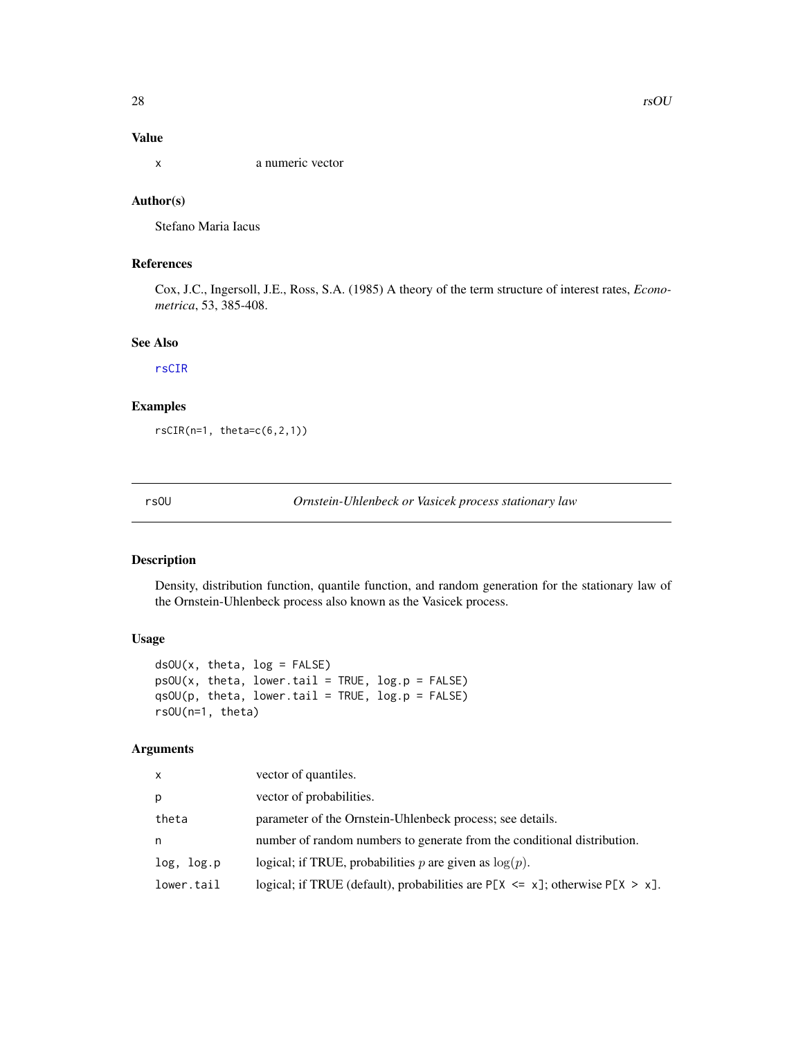# <span id="page-27-0"></span>Value

x a numeric vector

# Author(s)

Stefano Maria Iacus

# References

Cox, J.C., Ingersoll, J.E., Ross, S.A. (1985) A theory of the term structure of interest rates, *Econometrica*, 53, 385-408.

# See Also

[rsCIR](#page-26-1)

# Examples

rsCIR(n=1, theta=c(6,2,1))

<span id="page-27-1"></span>

rsOU *Ornstein-Uhlenbeck or Vasicek process stationary law*

#### Description

Density, distribution function, quantile function, and random generation for the stationary law of the Ornstein-Uhlenbeck process also known as the Vasicek process.

#### Usage

```
dsOU(x, theta, log = FALSE)
psOU(x, theta, lower.tail = TRUE, log.p = FALSE)qs0U(p, theta, lower.tail = TRUE, log.p = FALSE)rsOU(n=1, theta)
```
# Arguments

| <b>X</b>   | vector of quantiles.                                                                |
|------------|-------------------------------------------------------------------------------------|
| р          | vector of probabilities.                                                            |
| theta      | parameter of the Ornstein-Uhlenbeck process; see details.                           |
| n          | number of random numbers to generate from the conditional distribution.             |
| log, log.p | logical; if TRUE, probabilities p are given as $log(p)$ .                           |
| lower.tail | logical; if TRUE (default), probabilities are $P[X \le x]$ ; otherwise $P[X > x]$ . |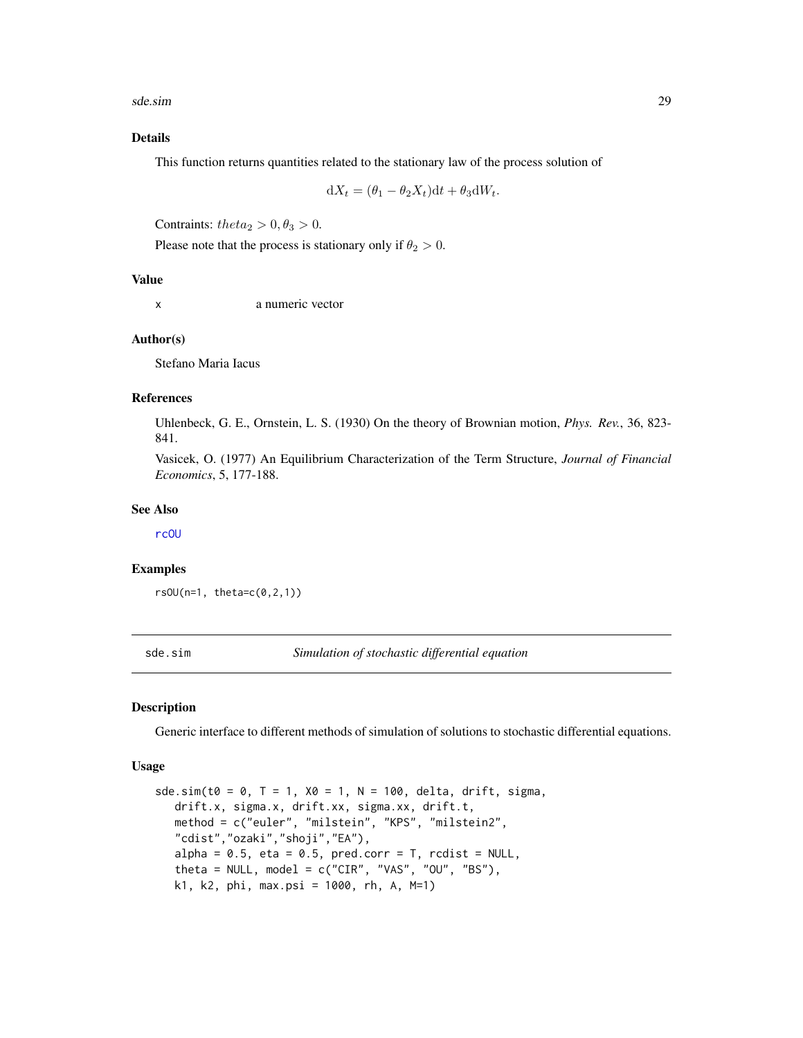<span id="page-28-0"></span>sde.sim 29

# Details

This function returns quantities related to the stationary law of the process solution of

$$
dX_t = (\theta_1 - \theta_2 X_t)dt + \theta_3 dW_t.
$$

Contraints:  $theta_2 > 0, \theta_3 > 0$ .

Please note that the process is stationary only if  $\theta_2 > 0$ .

#### Value

x a numeric vector

#### Author(s)

Stefano Maria Iacus

#### References

Uhlenbeck, G. E., Ornstein, L. S. (1930) On the theory of Brownian motion, *Phys. Rev.*, 36, 823- 841.

Vasicek, O. (1977) An Equilibrium Characterization of the Term Structure, *Journal of Financial Economics*, 5, 177-188.

#### See Also

[rcOU](#page-25-1)

# Examples

rsOU(n=1, theta=c(0,2,1))

<span id="page-28-1"></span>sde.sim *Simulation of stochastic differential equation*

# Description

Generic interface to different methods of simulation of solutions to stochastic differential equations.

#### Usage

```
sde.sim(t0 = 0, T = 1, X0 = 1, N = 100, delta, drift, sigma,drift.x, sigma.x, drift.xx, sigma.xx, drift.t,
   method = c("euler", "milstein", "KPS", "milstein2",
   "cdist","ozaki","shoji","EA"),
   alpha = 0.5, eta = 0.5, pred.corr = T, rcdist = NULL,
   theta = NULL, model = c("CIR", "VAS", "OU", "BS"),k1, k2, phi, max.psi = 1000, rh, A, M=1)
```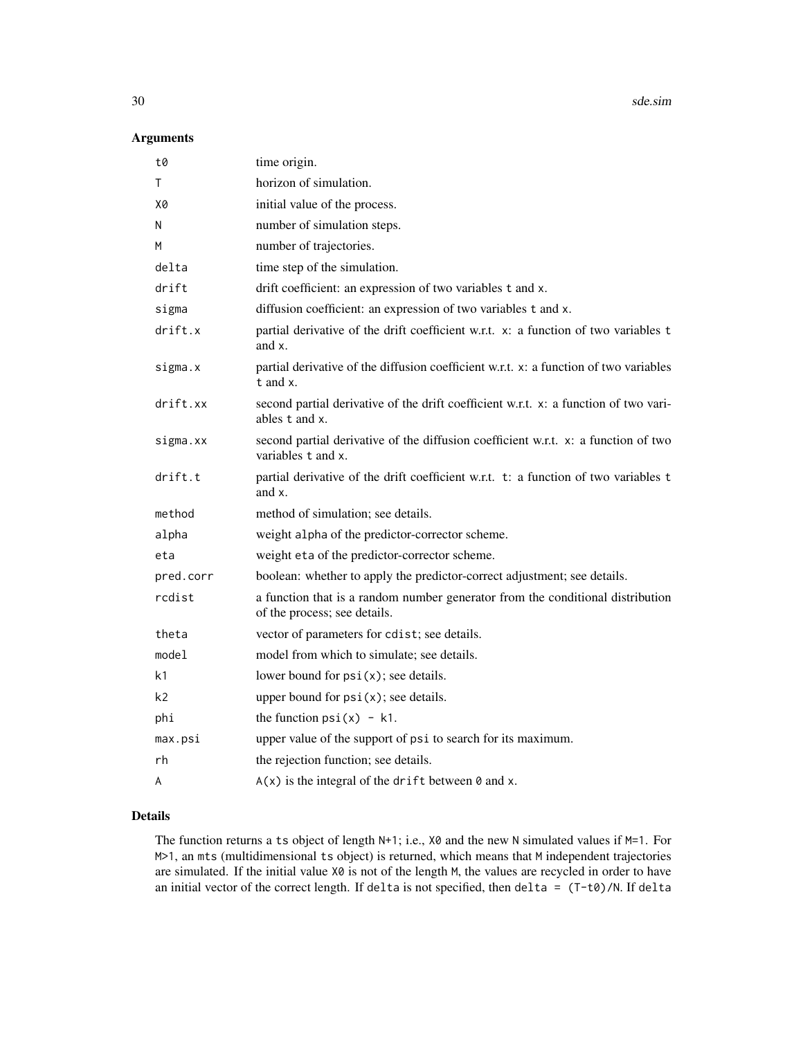30 sde.sim

# Arguments

| t0        | time origin.                                                                                                   |
|-----------|----------------------------------------------------------------------------------------------------------------|
| Т         | horizon of simulation.                                                                                         |
| Х0        | initial value of the process.                                                                                  |
| Ν         | number of simulation steps.                                                                                    |
| М         | number of trajectories.                                                                                        |
| delta     | time step of the simulation.                                                                                   |
| drift     | drift coefficient: an expression of two variables t and x.                                                     |
| sigma     | diffusion coefficient: an expression of two variables t and x.                                                 |
| drift.x   | partial derivative of the drift coefficient w.r.t. x: a function of two variables t<br>and x.                  |
| sigma.x   | partial derivative of the diffusion coefficient w.r.t. x: a function of two variables<br>t and x.              |
| drift.xx  | second partial derivative of the drift coefficient w.r.t. x: a function of two vari-<br>ables t and x.         |
| sigma.xx  | second partial derivative of the diffusion coefficient w.r.t. x: a function of two<br>variables t and x.       |
| drift.t   | partial derivative of the drift coefficient w.r.t. t: a function of two variables t<br>and x.                  |
| method    | method of simulation; see details.                                                                             |
| alpha     | weight alpha of the predictor-corrector scheme.                                                                |
| eta       | weight eta of the predictor-corrector scheme.                                                                  |
| pred.corr | boolean: whether to apply the predictor-correct adjustment; see details.                                       |
| rcdist    | a function that is a random number generator from the conditional distribution<br>of the process; see details. |
| theta     | vector of parameters for cdist; see details.                                                                   |
| model     | model from which to simulate; see details.                                                                     |
| k1        | lower bound for $psi(x)$ ; see details.                                                                        |
| k2        | upper bound for $psi(x)$ ; see details.                                                                        |
| phi       | the function $psi(x) - k1$ .                                                                                   |
| max.psi   | upper value of the support of psi to search for its maximum.                                                   |
| rh        | the rejection function; see details.                                                                           |
| A         | $A(x)$ is the integral of the drift between 0 and x.                                                           |

# Details

The function returns a ts object of length N+1; i.e.,  $X0$  and the new N simulated values if M=1. For M>1, an mts (multidimensional ts object) is returned, which means that M independent trajectories are simulated. If the initial value X0 is not of the length M, the values are recycled in order to have an initial vector of the correct length. If delta is not specified, then delta = (T-t0)/N. If delta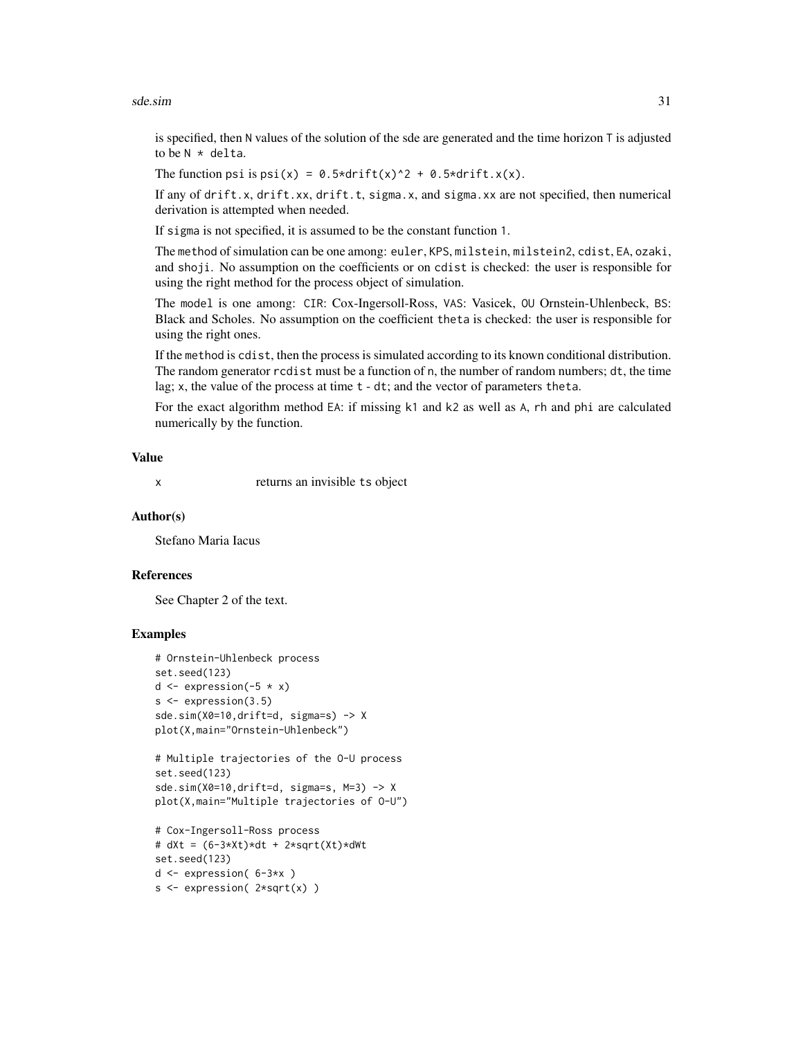#### sde.sim 31

is specified, then N values of the solution of the sde are generated and the time horizon T is adjusted to be  $N *$  delta.

The function psi is  $psi(x) = 0.5*drift(x)^2 + 0.5*drift.x(x)$ .

If any of drift.x, drift.xx, drift.t, sigma.x, and sigma.xx are not specified, then numerical derivation is attempted when needed.

If sigma is not specified, it is assumed to be the constant function 1.

The method of simulation can be one among: euler, KPS, milstein, milstein2, cdist, EA, ozaki, and shoji. No assumption on the coefficients or on cdist is checked: the user is responsible for using the right method for the process object of simulation.

The model is one among: CIR: Cox-Ingersoll-Ross, VAS: Vasicek, OU Ornstein-Uhlenbeck, BS: Black and Scholes. No assumption on the coefficient theta is checked: the user is responsible for using the right ones.

If the method is cdist, then the process is simulated according to its known conditional distribution. The random generator rcdist must be a function of n, the number of random numbers; dt, the time lag; x, the value of the process at time t - dt; and the vector of parameters theta.

For the exact algorithm method EA: if missing k1 and k2 as well as A, rh and phi are calculated numerically by the function.

#### Value

x returns an invisible ts object

#### Author(s)

Stefano Maria Iacus

# References

See Chapter 2 of the text.

```
# Ornstein-Uhlenbeck process
set.seed(123)
d \leq expression(-5 \times x)
s < - expression(3.5)
sde.sim(X0=10,drift=d, sigma=s) -> X
plot(X,main="Ornstein-Uhlenbeck")
```

```
# Multiple trajectories of the O-U process
set.seed(123)
sde.sim(X0=10,drift=d, sigma=s, M=3) -> X
plot(X,main="Multiple trajectories of O-U")
```

```
# Cox-Ingersoll-Ross process
# dXt = (6-3*Xt)*dt + 2*sqrt(Xt)*dWtset.seed(123)
d <- expression( 6-3*x )
s \leftarrow expression( 2*sqrt(x) )
```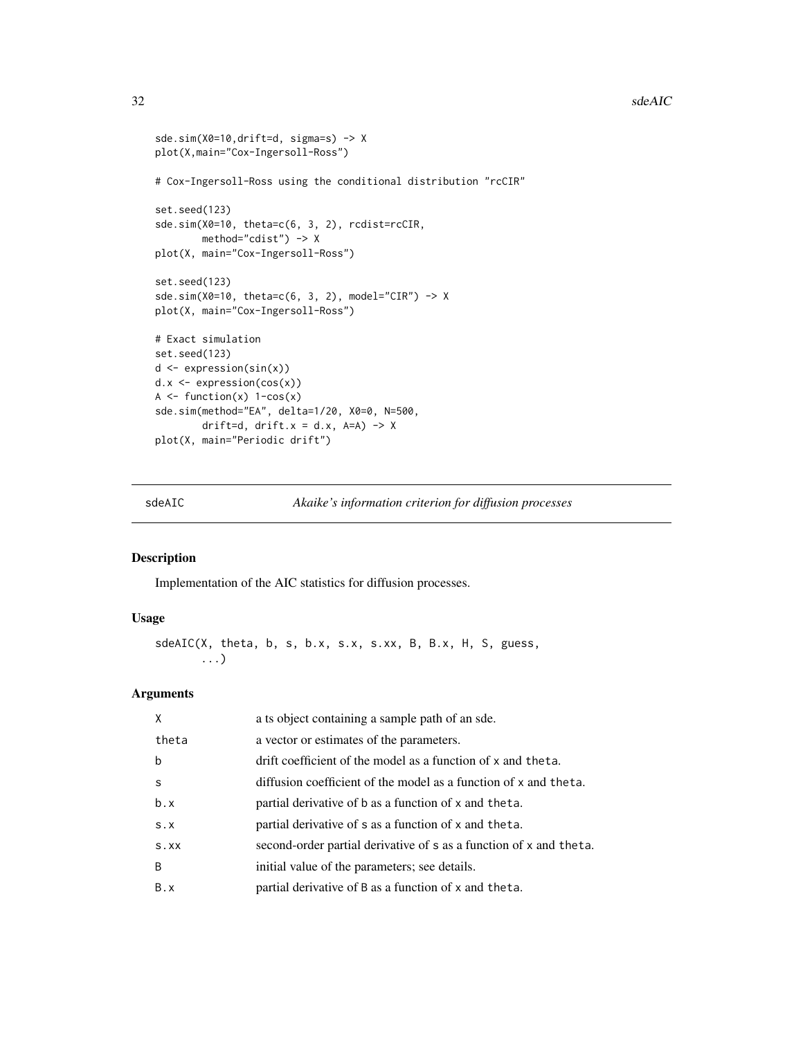```
sde.sim(X0=10,drift=d, sigma=s) -> X
plot(X,main="Cox-Ingersoll-Ross")
# Cox-Ingersoll-Ross using the conditional distribution "rcCIR"
set.seed(123)
sde.sim(X0=10, theta=c(6, 3, 2), rcdist=rcCIR,
       method="cdist") -> X
plot(X, main="Cox-Ingersoll-Ross")
set.seed(123)
sde.sim(X0=10, theta=c(6, 3, 2), model="CIR") -> X
plot(X, main="Cox-Ingersoll-Ross")
# Exact simulation
set.seed(123)
d <- expression(sin(x))
d.x <- expression(cos(x))
A \leftarrow function(x) 1-cos(x)sde.sim(method="EA", delta=1/20, X0=0, N=500,
        drift=d, drift.x = d.x, A=A) -> X
plot(X, main="Periodic drift")
```
sdeAIC *Akaike's information criterion for diffusion processes*

#### Description

Implementation of the AIC statistics for diffusion processes.

#### Usage

sdeAIC(X, theta, b, s, b.x, s.x, s.xx, B, B.x, H, S, guess, ...)

#### Arguments

| X            | a ts object containing a sample path of an sde.                    |
|--------------|--------------------------------------------------------------------|
| theta        | a vector or estimates of the parameters.                           |
| $\mathbf b$  | drift coefficient of the model as a function of x and theta.       |
| <sub>S</sub> | diffusion coefficient of the model as a function of x and theta.   |
| b.x          | partial derivative of b as a function of x and theta.              |
| $S \cdot X$  | partial derivative of s as a function of x and theta.              |
| S.XX         | second-order partial derivative of s as a function of x and theta. |
| B            | initial value of the parameters; see details.                      |
| B.x          | partial derivative of B as a function of x and theta.              |
|              |                                                                    |

<span id="page-31-0"></span>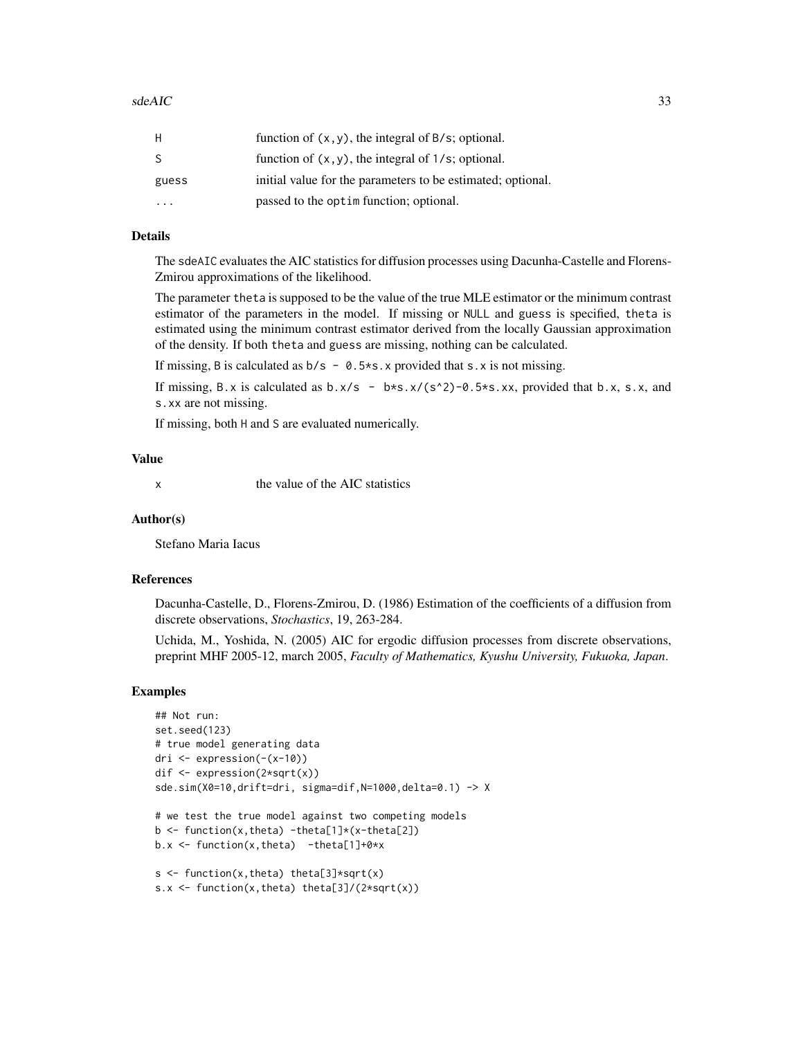| H.           | function of $(x, y)$ , the integral of $B/s$ ; optional.    |
|--------------|-------------------------------------------------------------|
| <sub>S</sub> | function of $(x, y)$ , the integral of $1/s$ ; optional.    |
| guess        | initial value for the parameters to be estimated; optional. |
|              | passed to the optim function; optional.                     |

#### Details

The sdeAIC evaluates the AIC statistics for diffusion processes using Dacunha-Castelle and Florens-Zmirou approximations of the likelihood.

The parameter theta is supposed to be the value of the true MLE estimator or the minimum contrast estimator of the parameters in the model. If missing or NULL and guess is specified, theta is estimated using the minimum contrast estimator derived from the locally Gaussian approximation of the density. If both theta and guess are missing, nothing can be calculated.

If missing, B is calculated as  $b/s - 0.5*s$ . x provided that s. x is not missing.

If missing, B.x is calculated as  $b.x/s - b*s.x/(s^2)-0.5*s.xx$ , provided that b.x, s.x, and s.xx are not missing.

If missing, both H and S are evaluated numerically.

### Value

x the value of the AIC statistics

#### Author(s)

Stefano Maria Iacus

#### References

Dacunha-Castelle, D., Florens-Zmirou, D. (1986) Estimation of the coefficients of a diffusion from discrete observations, *Stochastics*, 19, 263-284.

Uchida, M., Yoshida, N. (2005) AIC for ergodic diffusion processes from discrete observations, preprint MHF 2005-12, march 2005, *Faculty of Mathematics, Kyushu University, Fukuoka, Japan*.

```
## Not run:
set.seed(123)
# true model generating data
dri <- expression(-(x-10))
dif <- expression(2*sqrt(x))
sde.sim(X0=10,drift=dri, sigma=dif,N=1000,delta=0.1) -> X
# we test the true model against two competing models
b <- function(x,theta) -theta[1]*(x-theta[2])
b.x \leftarrow function(x, theta) - theta[1]+0*xs <- function(x,theta) theta[3]*sqrt(x)
s.x <- function(x,theta) theta[3]/(2*sqrt(x))
```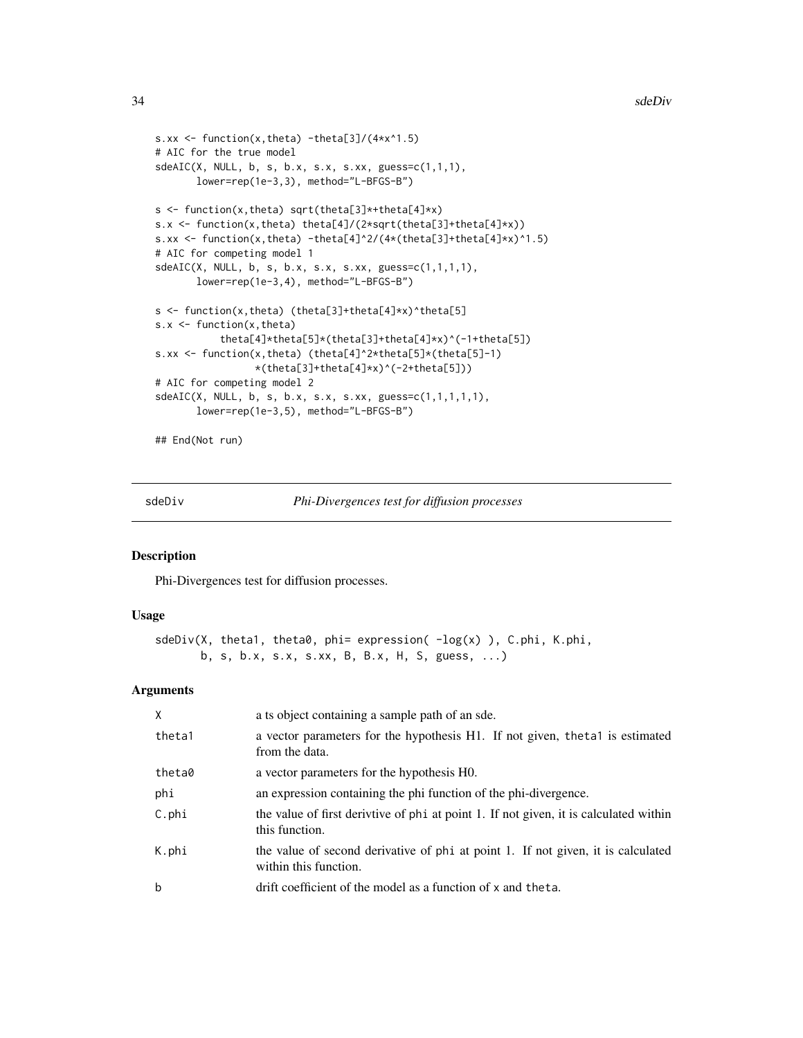```
34 sdeDiv
```

```
s.xx <- function(x, theta) -theta[3]/(4*x^1.5)
# AIC for the true model
sdeAIC(X, NULL, b, s, b.x, s.x, s.x, guess=c(1,1,1),lower=rep(1e-3,3), method="L-BFGS-B")
s <- function(x,theta) sqrt(theta[3]*+theta[4]*x)
s.x <- function(x,theta) theta[4]/(2*sqrt(theta[3]+theta[4]*x))
s.xx <- function(x,theta) -theta[4]^2/(4*(theta[3]+theta[4]*x)^1.5)
# AIC for competing model 1
sdeAIC(X, NULL, b, s, b.x, s.x, s.xx, guess=c(1,1,1,1),
      lower=rep(1e-3,4), method="L-BFGS-B")
s <- function(x,theta) (theta[3]+theta[4]*x)^theta[5]
s.x <- function(x,theta)
           theta[4]*theta[5]*(theta[3]+theta[4]*x)^(-1+theta[5])
s.xx <- function(x,theta) (theta[4]^2*theta[5]*(theta[5]-1)
                 *(theta[3]+theta[4]*x)^(-2+theta[5]))
# AIC for competing model 2
sdeAIC(X, NULL, b, s, b.x, s.x, s.xx, guess=c(1,1,1,1,1),
      lower=rep(1e-3,5), method="L-BFGS-B")
## End(Not run)
```
sdeDiv *Phi-Divergences test for diffusion processes*

#### Description

Phi-Divergences test for diffusion processes.

#### Usage

```
sdeDiv(X, theta1, theta0, phi= expression( -log(x) ), C.phi, K.phi,
      b, s, b.x, s.x, s.xx, B, B.x, H, S, guess, ...)
```
#### Arguments

| $\mathsf{X}$ | a ts object containing a sample path of an sde.                                                           |
|--------------|-----------------------------------------------------------------------------------------------------------|
| theta1       | a vector parameters for the hypothesis H1. If not given, thetal is estimated<br>from the data.            |
| theta0       | a vector parameters for the hypothesis H0.                                                                |
| phi          | an expression containing the phi function of the phi-divergence.                                          |
| C.phi        | the value of first derivitive of phi at point 1. If not given, it is calculated within<br>this function.  |
| K.phi        | the value of second derivative of phi at point 1. If not given, it is calculated<br>within this function. |
| $\mathsf b$  | drift coefficient of the model as a function of x and theta.                                              |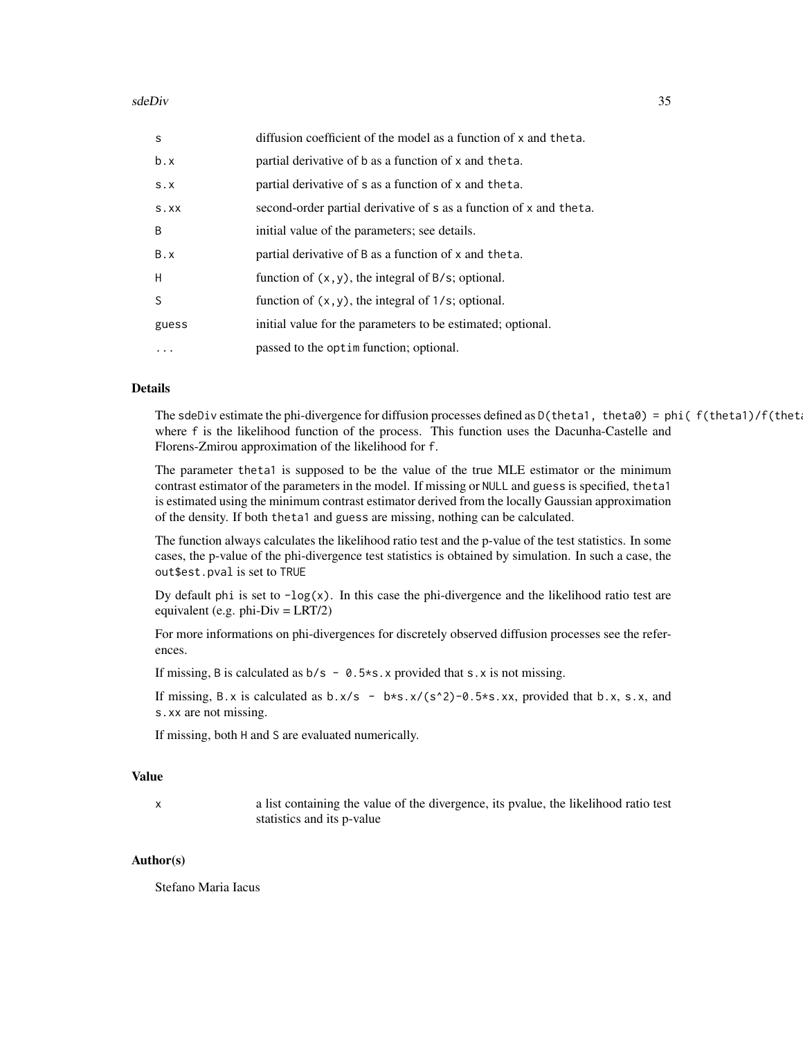sdeDiv 35

| S            | diffusion coefficient of the model as a function of x and theta.   |
|--------------|--------------------------------------------------------------------|
| b.x          | partial derivative of b as a function of x and theta.              |
| S.X          | partial derivative of s as a function of x and theta.              |
| S.XX         | second-order partial derivative of s as a function of x and theta. |
| <sub>B</sub> | initial value of the parameters; see details.                      |
| B.x          | partial derivative of B as a function of x and theta.              |
| H            | function of $(x, y)$ , the integral of B/s; optional.              |
| S            | function of $(x, y)$ , the integral of $1/s$ ; optional.           |
| guess        | initial value for the parameters to be estimated; optional.        |
| $\cdots$     | passed to the optime function; optional.                           |

#### Details

The sdeDiv estimate the phi-divergence for diffusion processes defined as  $D$ (theta1, theta $\emptyset$ ) = phi(f(theta1)/f(theta1) where f is the likelihood function of the process. This function uses the Dacunha-Castelle and Florens-Zmirou approximation of the likelihood for f.

The parameter theta1 is supposed to be the value of the true MLE estimator or the minimum contrast estimator of the parameters in the model. If missing or NULL and guess is specified, theta1 is estimated using the minimum contrast estimator derived from the locally Gaussian approximation of the density. If both theta1 and guess are missing, nothing can be calculated.

The function always calculates the likelihood ratio test and the p-value of the test statistics. In some cases, the p-value of the phi-divergence test statistics is obtained by simulation. In such a case, the out\$est.pval is set to TRUE

Dy default phi is set to  $-log(x)$ . In this case the phi-divergence and the likelihood ratio test are equivalent (e.g. phi-Div = LRT/2)

For more informations on phi-divergences for discretely observed diffusion processes see the references.

If missing, B is calculated as  $b/s - 0.5*s$ . x provided that s. x is not missing.

If missing, B.x is calculated as  $b.x/s - b*s.x/(s^2)-0.5*s.xx$ , provided that b.x, s.x, and s.xx are not missing.

If missing, both H and S are evaluated numerically.

#### Value

x a list containing the value of the divergence, its pvalue, the likelihood ratio test statistics and its p-value

#### Author(s)

Stefano Maria Iacus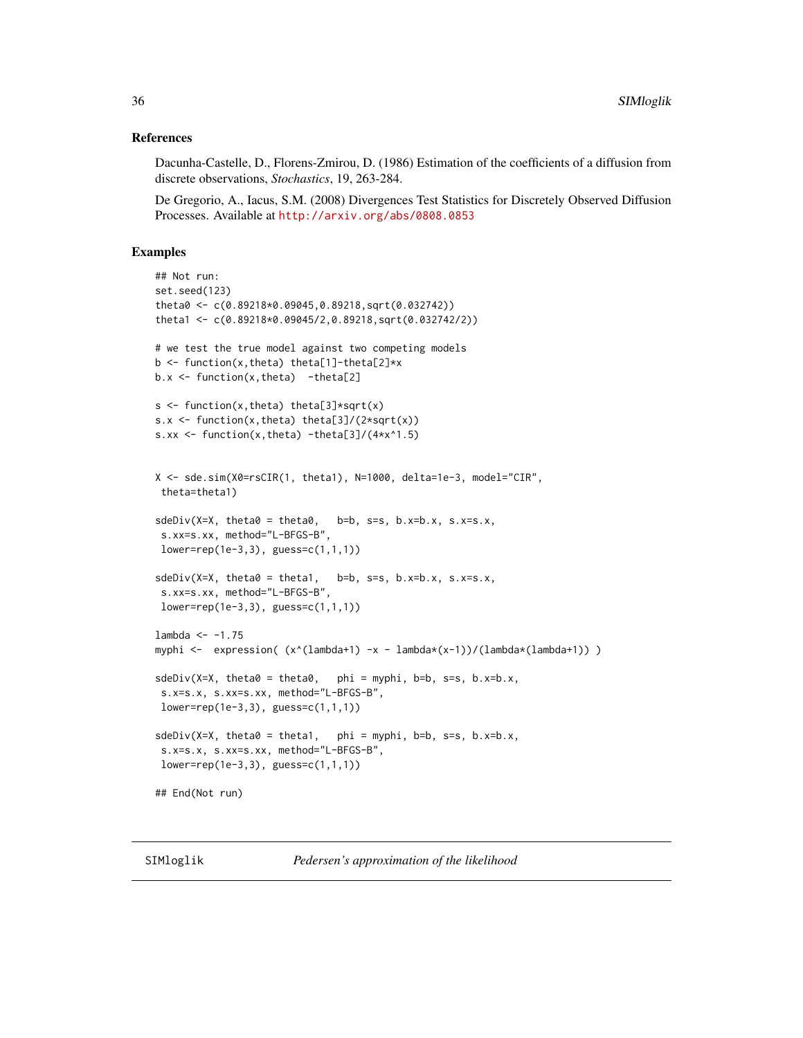#### <span id="page-35-0"></span>References

Dacunha-Castelle, D., Florens-Zmirou, D. (1986) Estimation of the coefficients of a diffusion from discrete observations, *Stochastics*, 19, 263-284.

De Gregorio, A., Iacus, S.M. (2008) Divergences Test Statistics for Discretely Observed Diffusion Processes. Available at <http://arxiv.org/abs/0808.0853>

# Examples

```
## Not run:
set.seed(123)
theta0 <- c(0.89218*0.09045,0.89218,sqrt(0.032742))
theta1 <- c(0.89218*0.09045/2,0.89218,sqrt(0.032742/2))
# we test the true model against two competing models
b <- function(x,theta) theta[1]-theta[2]*x
b.x \leq function(x,theta) -theta[2]s \leftarrow function(x, theta) theta[3]*sqrt(x)s.x <- function(x,theta) theta[3]/(2*sqrt(x))
s.xx <- function(x, theta) -theta[3]/(4*x^1.5)
X <- sde.sim(X0=rsCIR(1, theta1), N=1000, delta=1e-3, model="CIR",
 theta=theta1)
sdeDiv(X=X, theta0 = theta0, b=b, s=s, b.x=b.x, s.x=s.x,s.xx=s.xx, method="L-BFGS-B",
 lower=rep(1e-3,3), guess=c(1,1,1))
sdeDiv(X=X, theta0 = theta1, b=b, s=s, b.x=b.x, s.x=s.x,s.xx=s.xx, method="L-BFGS-B",
 lower=rep(1e-3,3), guess=c(1,1,1))
lambda \leftarrow -1.75myphi <- expression( (x^(lambda+1) -x - \lambda^2 x^2 - \lambda^2 x^2 - \lambda^2 x^2 - \lambda^2 x^2 - \lambda^2 x^2 - \lambda^2 x^2 - \lambda^2 x^2 - \lambda^2 x^2 - \lambda^2 x^2 - \lambda^2 x^2 - \lambda^2 x^2 - \lambda^2 x^2 - \lambda^2 x^2 - \lambda^2 x^2 - \lambda^2 x^2 - \lambda^2 x^2 - \lambda^2 x^2 - \lambda^2 x^2 - \lambda^2 x^2 - \lambda^2 x^2 - \lambda^2 x^2 - \lambda^2 x^2 - \lambda^2 x^2 - \lambda^2 x^sdeDiv(X=X, theta0 = theta0, phi = myphi, b=b, s=s, b.x=b.x,s.x=s.x, s.xx=s.xx, method="L-BFGS-B",
 lower=rep(1e-3,3), guess=c(1,1,1))
sdeDiv(X=X, theta0 = theta1, phi = myphi, b=b, s=s, b.x=b.x,s.x=s.x, s.xx=s.xx, method="L-BFGS-B",
 lower=rep(1e-3,3), guess=c(1,1,1))
## End(Not run)
```
SIMloglik *Pedersen's approximation of the likelihood*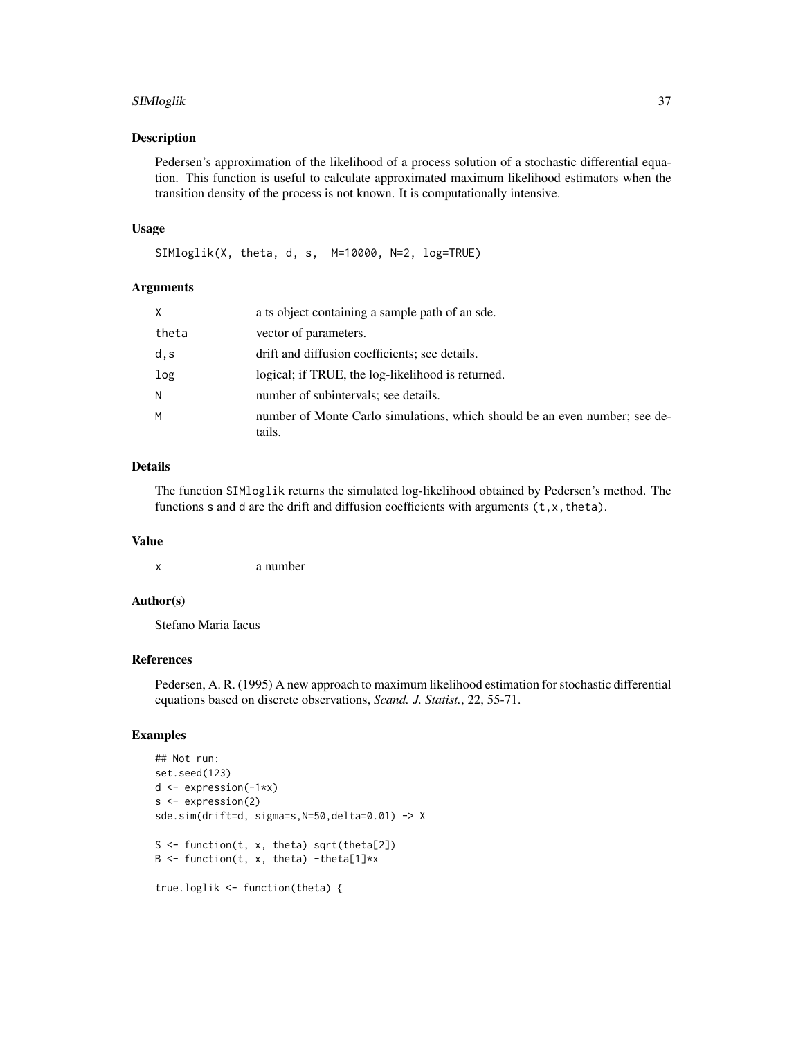# SIMloglik 37

#### Description

Pedersen's approximation of the likelihood of a process solution of a stochastic differential equation. This function is useful to calculate approximated maximum likelihood estimators when the transition density of the process is not known. It is computationally intensive.

#### Usage

SIMloglik(X, theta, d, s, M=10000, N=2, log=TRUE)

# Arguments

| X.    | a ts object containing a sample path of an sde.                                      |
|-------|--------------------------------------------------------------------------------------|
| theta | vector of parameters.                                                                |
| d,s   | drift and diffusion coefficients; see details.                                       |
| log   | logical; if TRUE, the log-likelihood is returned.                                    |
| Ν     | number of subintervals; see details.                                                 |
| М     | number of Monte Carlo simulations, which should be an even number; see de-<br>tails. |

#### Details

The function SIMloglik returns the simulated log-likelihood obtained by Pedersen's method. The functions s and d are the drift and diffusion coefficients with arguments  $(t, x, t)$ heta).

#### Value

| x | a number |
|---|----------|
|   |          |

#### Author(s)

Stefano Maria Iacus

#### References

Pedersen, A. R. (1995) A new approach to maximum likelihood estimation for stochastic differential equations based on discrete observations, *Scand. J. Statist.*, 22, 55-71.

```
## Not run:
set.seed(123)
d <- expression(-1*x)
s <- expression(2)
sde.sim(drift=d, sigma=s,N=50,delta=0.01) -> X
S <- function(t, x, theta) sqrt(theta[2])
B \leq function(t, x, theta) -theta[1]*x
true.loglik <- function(theta) {
```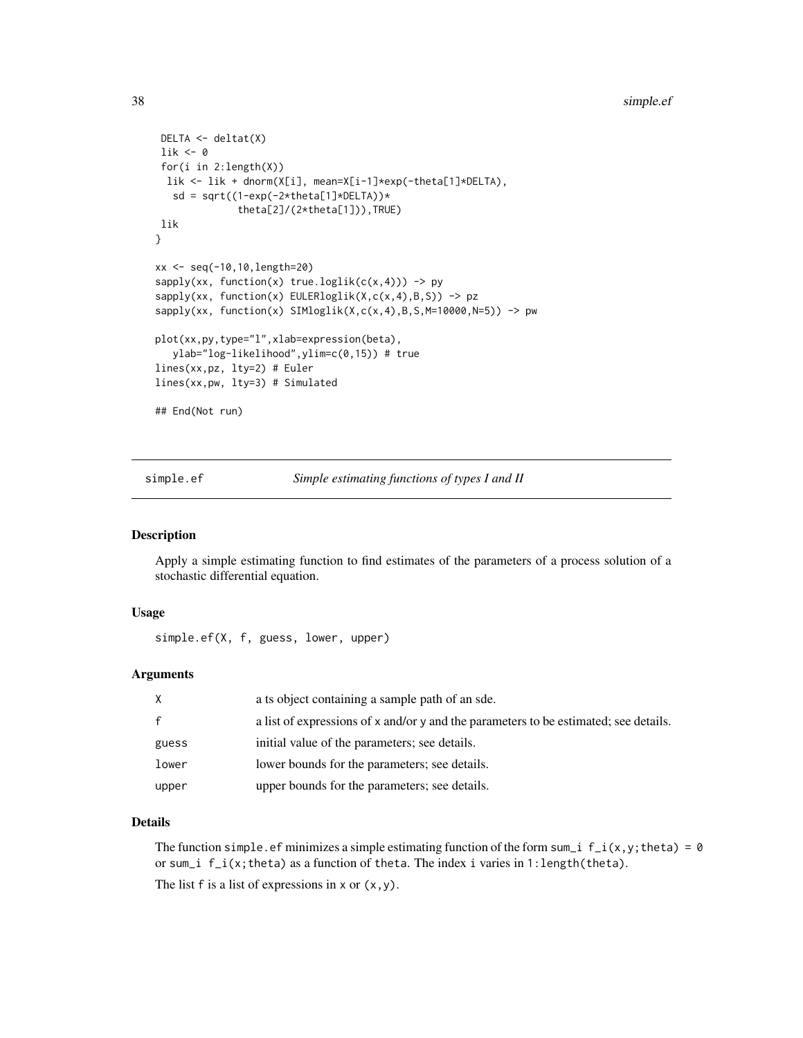```
DELTA <- deltat(X)
 lik <- 0
 for(i in 2:length(X))
 lik <- lik + dnorm(X[i], mean=X[i-1]*exp(-theta[1]*DELTA),
  sd = sqrt((1-exp(-2*theta[1]*DELTA))*
              theta[2]/(2*theta[1])),TRUE)
lik
}
xx <- seq(-10,10,length=20)
sapply(xx, function(x) true.loglik(c(x,4))) \rightarrow pysapply(xx, function(x) EULERloglik(X,c(x,4),B,S)) -> pz
sapply(xx, function(x) SIMloglik(X,c(x,4),B,S,M=10000,N=5)) -> pw
plot(xx,py,type="l",xlab=expression(beta),
   ylab="log-likelihood",ylim=c(0,15)) # true
lines(xx,pz, lty=2) # Euler
lines(xx,pw, lty=3) # Simulated
## End(Not run)
```
simple.ef *Simple estimating functions of types I and II*

#### Description

Apply a simple estimating function to find estimates of the parameters of a process solution of a stochastic differential equation.

#### Usage

simple.ef(X, f, guess, lower, upper)

#### Arguments

| X            | a ts object containing a sample path of an sde.                                      |
|--------------|--------------------------------------------------------------------------------------|
| $\mathbf{f}$ | a list of expressions of x and/or y and the parameters to be estimated; see details. |
| guess        | initial value of the parameters; see details.                                        |
| lower        | lower bounds for the parameters; see details.                                        |
| upper        | upper bounds for the parameters; see details.                                        |

#### Details

The function simple. ef minimizes a simple estimating function of the form sum\_i  $f_i(x,y;theta) = 0$ or sum\_i  $f_i(x;theta)$  as a function of theta. The index i varies in 1:length(theta).

The list f is a list of expressions in  $x$  or  $(x, y)$ .

<span id="page-37-0"></span>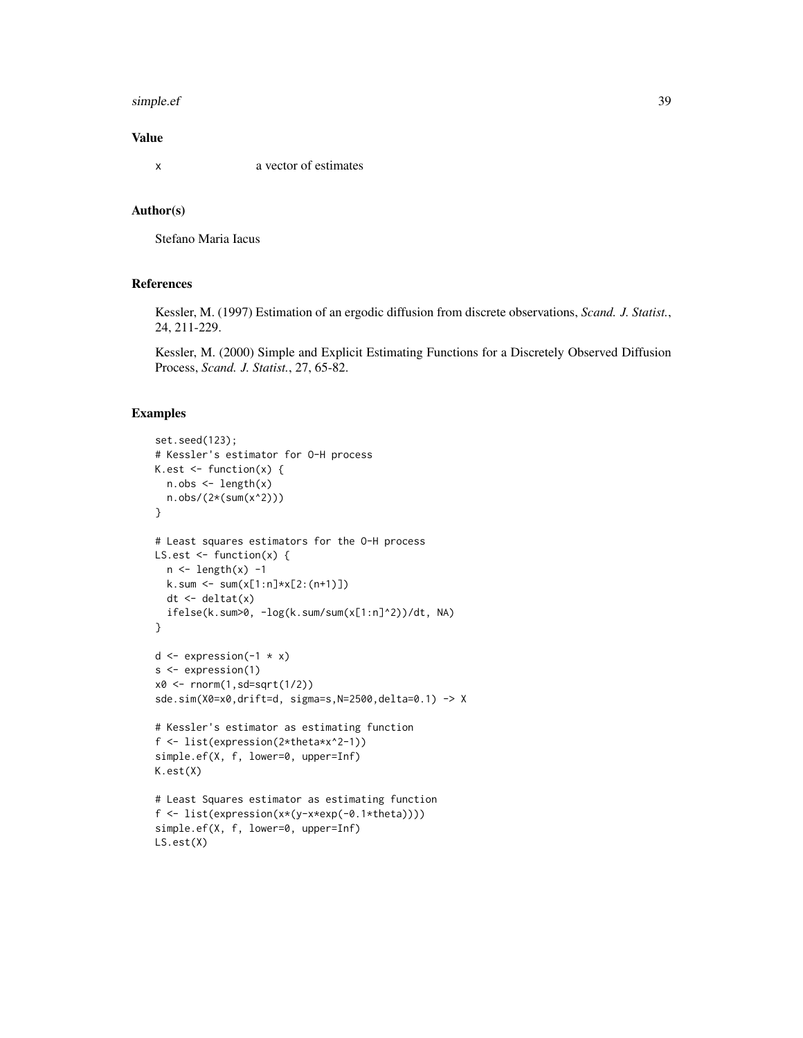#### simple.ef 39

# Value

x a vector of estimates

#### Author(s)

Stefano Maria Iacus

# References

Kessler, M. (1997) Estimation of an ergodic diffusion from discrete observations, *Scand. J. Statist.*, 24, 211-229.

Kessler, M. (2000) Simple and Explicit Estimating Functions for a Discretely Observed Diffusion Process, *Scand. J. Statist.*, 27, 65-82.

```
set.seed(123);
# Kessler's estimator for O-H process
K.est \leq function(x) {
  n.obs <- length(x)
  n.obs/(2*(sum(x^2)))
}
# Least squares estimators for the O-H process
LS.est \leq function(x) {
 n \leftarrow length(x) -1
  k.sum <- sum(x[1:n]*x[2:(n+1)])
  dt \leftarrow delta(x)ifelse(k.sum>0, -log(k.sum/sum(x[1:n]^2))/dt, NA)
}
d \leftarrow expression(-1 * x)
s <- expression(1)
x0 <- rnorm(1,sd=sqrt(1/2))
sde.sim(X0=x0,drift=d, sigma=s,N=2500,delta=0.1) -> X
# Kessler's estimator as estimating function
f <- list(expression(2*theta*x^2-1))
simple.ef(X, f, lower=0, upper=Inf)
K.est(X)
# Least Squares estimator as estimating function
f <- list(expression(x*(y-x*exp(-0.1*theta))))
simple.ef(X, f, lower=0, upper=Inf)
LS.est(X)
```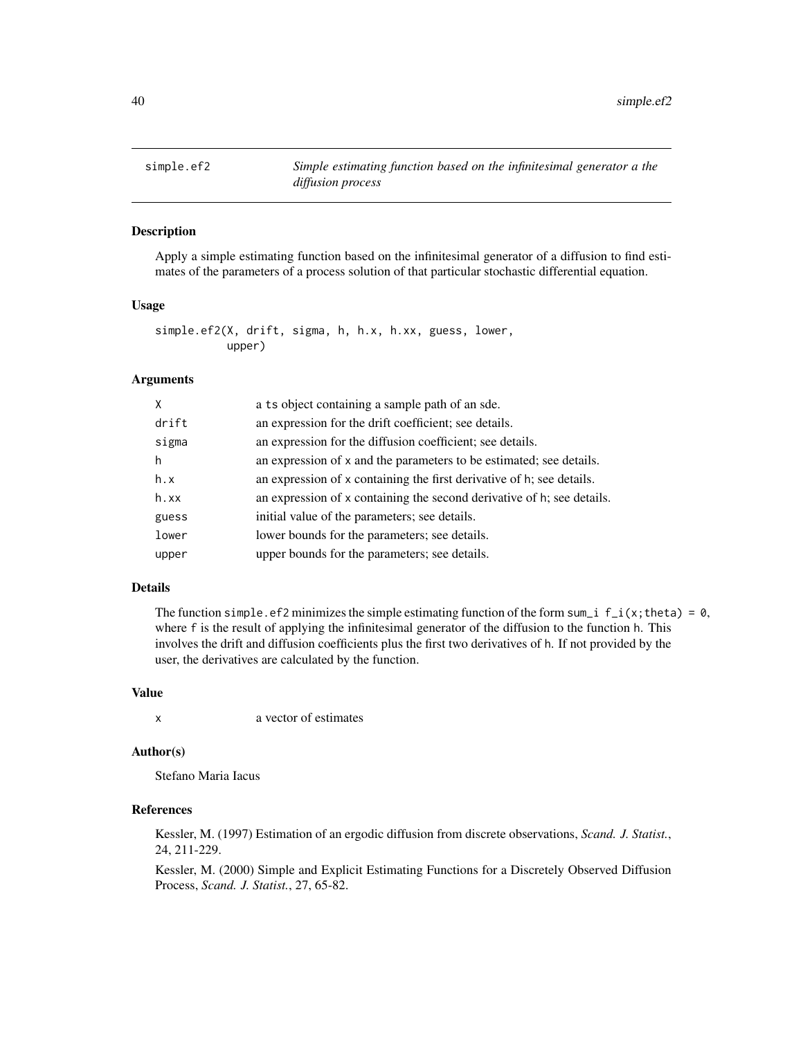<span id="page-39-0"></span>simple.ef2 *Simple estimating function based on the infinitesimal generator a the diffusion process*

# Description

Apply a simple estimating function based on the infinitesimal generator of a diffusion to find estimates of the parameters of a process solution of that particular stochastic differential equation.

#### Usage

simple.ef2(X, drift, sigma, h, h.x, h.xx, guess, lower, upper)

## Arguments

| X     | a ts object containing a sample path of an sde.                        |
|-------|------------------------------------------------------------------------|
| drift | an expression for the drift coefficient; see details.                  |
| sigma | an expression for the diffusion coefficient; see details.              |
| h     | an expression of x and the parameters to be estimated; see details.    |
| h.x   | an expression of x containing the first derivative of h; see details.  |
| h.xx  | an expression of x containing the second derivative of h; see details. |
| guess | initial value of the parameters; see details.                          |
| lower | lower bounds for the parameters; see details.                          |
| upper | upper bounds for the parameters; see details.                          |

#### Details

The function simple.ef2 minimizes the simple estimating function of the form sum\_i  $f_i(x;theta) = 0$ , where f is the result of applying the infinitesimal generator of the diffusion to the function h. This involves the drift and diffusion coefficients plus the first two derivatives of h. If not provided by the user, the derivatives are calculated by the function.

# Value

x a vector of estimates

#### Author(s)

Stefano Maria Iacus

#### References

Kessler, M. (1997) Estimation of an ergodic diffusion from discrete observations, *Scand. J. Statist.*, 24, 211-229.

Kessler, M. (2000) Simple and Explicit Estimating Functions for a Discretely Observed Diffusion Process, *Scand. J. Statist.*, 27, 65-82.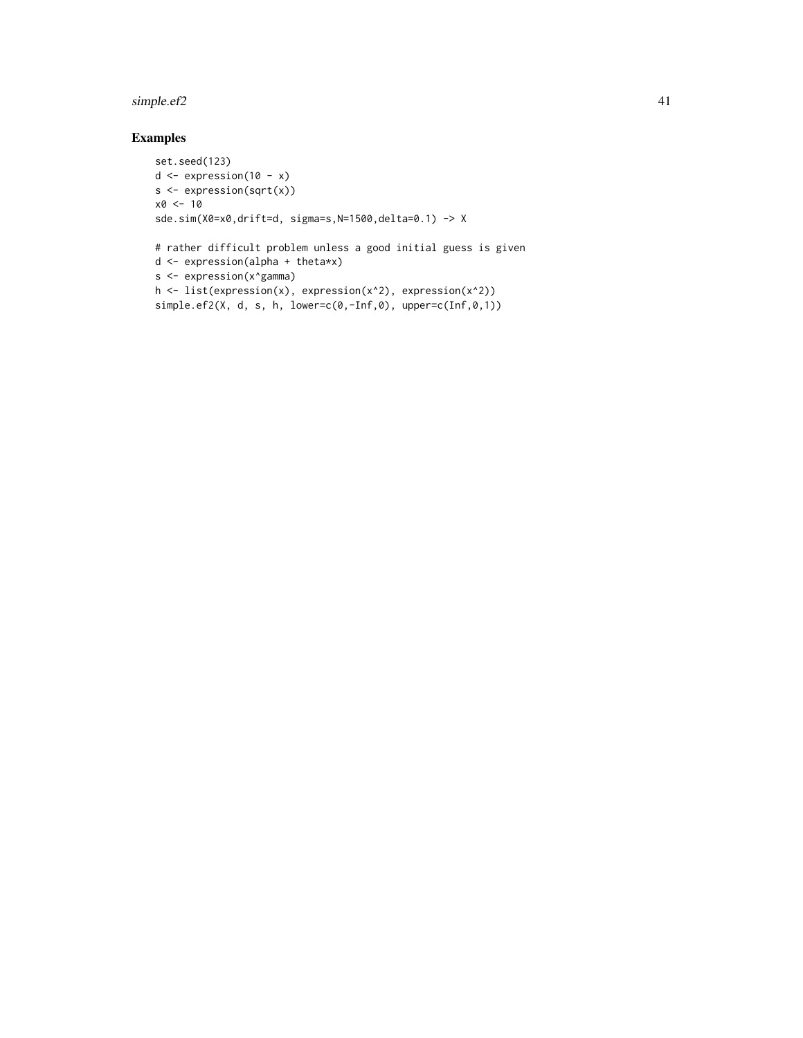# simple.ef2 41

```
set.seed(123)
d \leftarrow expression(10 - x)
s <- expression(sqrt(x))
x0 < -10sde.sim(X0=x0,drift=d, sigma=s,N=1500,delta=0.1) -> X
# rather difficult problem unless a good initial guess is given
d <- expression(alpha + theta*x)
s <- expression(x^gamma)
h <- list(expression(x), expression(x^2), expression(x^2))
simple.ef2(X, d, s, h, lower=c(0,-Inf,0), upper=c(Inf,0,1))
```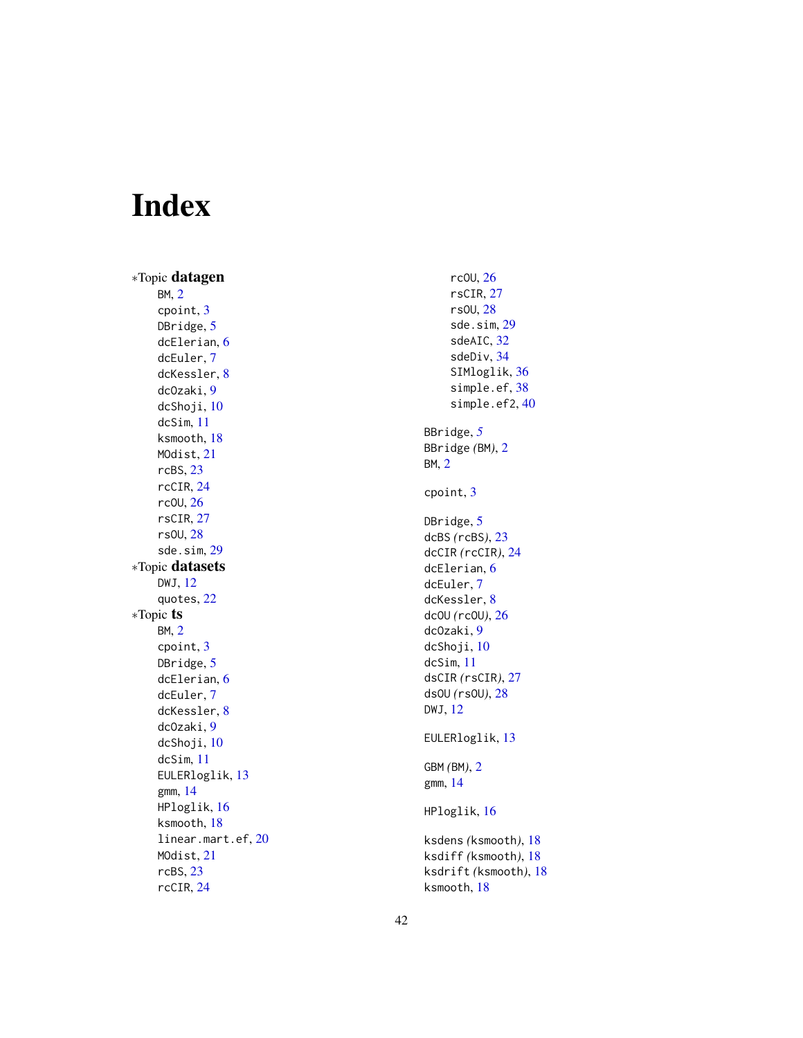# <span id="page-41-0"></span>Index

∗Topic datagen BM , [2](#page-1-0) cpoint , [3](#page-2-0) DBridge, [5](#page-4-0) dcElerian , [6](#page-5-0) dcEuler , [7](#page-6-0) dcKessler , [8](#page-7-0) dcOzaki , [9](#page-8-0) dcShoji , [10](#page-9-0) dcSim , [11](#page-10-0) ksmooth , [18](#page-17-0) MOdist , [21](#page-20-0) rcBS , [23](#page-22-0) rcCIR , [24](#page-23-0) rcOU , [26](#page-25-0) rsCIR , [27](#page-26-0) rsOU , [28](#page-27-0) sde.sim , [29](#page-28-0) ∗Topic datasets DWJ , [12](#page-11-0) quotes , [22](#page-21-0) ∗Topic ts BM , [2](#page-1-0) cpoint , [3](#page-2-0) DBridge, [5](#page-4-0) dcElerian , [6](#page-5-0) dcEuler , [7](#page-6-0) dcKessler , [8](#page-7-0) dcOzaki , [9](#page-8-0) dcShoji , [10](#page-9-0) dcSim , [11](#page-10-0) EULERloglik, [13](#page-12-0) gmm , [14](#page-13-0) HPloglik , [16](#page-15-0) ksmooth , [18](#page-17-0) linear.mart.ef , [20](#page-19-0) MOdist , [21](#page-20-0) rcBS , [23](#page-22-0) rcCIR , [24](#page-23-0)

rcOU , [26](#page-25-0) rsCIR , [27](#page-26-0) rsOU , [28](#page-27-0) sde.sim , [29](#page-28-0) sdeAIC, [32](#page-31-0) sdeDiv , [34](#page-33-0) SIMloglik, [36](#page-35-0) simple.ef, [38](#page-37-0) simple.ef2,[40](#page-39-0) BBridge , *[5](#page-4-0)* BBridge *(*BM *)* , [2](#page-1-0) BM , [2](#page-1-0) cpoint , [3](#page-2-0) DBridge, <mark>[5](#page-4-0)</mark> dcBS *(*rcBS *)* , [23](#page-22-0) dcCIR *(*rcCIR *)* , [24](#page-23-0) dcElerian , [6](#page-5-0) dcEuler , [7](#page-6-0) dcKessler , [8](#page-7-0) dcOU *(*rcOU *)* , [26](#page-25-0) dcOzaki , [9](#page-8-0) dcShoji , [10](#page-9-0) dcSim , [11](#page-10-0) dsCIR *(*rsCIR *)* , [27](#page-26-0) dsOU *(*rsOU *)* , [28](#page-27-0) DWJ , [12](#page-11-0) EULERloglik , [13](#page-12-0) GBM *(*BM *)* , [2](#page-1-0) gmm , [14](#page-13-0) HPloglik , [16](#page-15-0) ksdens *(*ksmooth *)* , [18](#page-17-0) ksdiff *(*ksmooth *)* , [18](#page-17-0) ksdrift *(*ksmooth *)* , [18](#page-17-0) ksmooth , [18](#page-17-0)